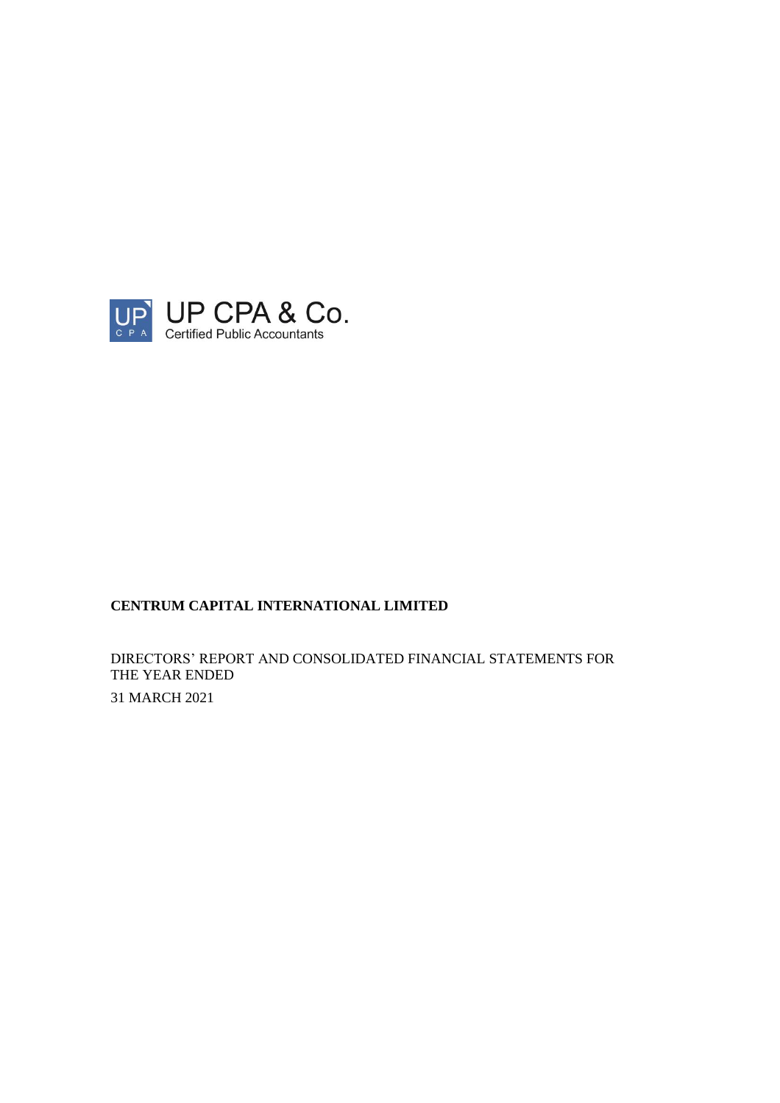

DIRECTORS' REPORT AND CONSOLIDATED FINANCIAL STATEMENTS FOR THE YEAR ENDED 31 MARCH 2021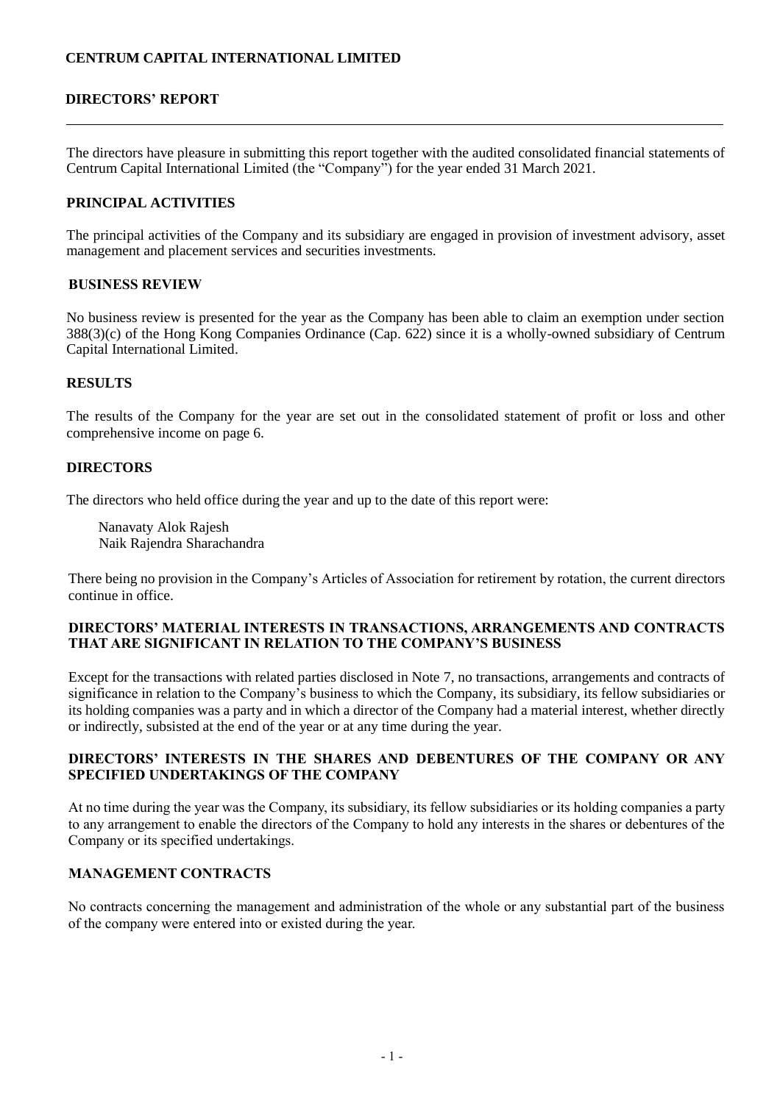### **DIRECTORS' REPORT**

The directors have pleasure in submitting this report together with the audited consolidated financial statements of Centrum Capital International Limited (the "Company") for the year ended 31 March 2021.

#### **PRINCIPAL ACTIVITIES**

The principal activities of the Company and its subsidiary are engaged in provision of investment advisory, asset management and placement services and securities investments.

#### **BUSINESS REVIEW**

No business review is presented for the year as the Company has been able to claim an exemption under section 388(3)(c) of the Hong Kong Companies Ordinance (Cap. 622) since it is a wholly-owned subsidiary of Centrum Capital International Limited.

#### **RESULTS**

The results of the Company for the year are set out in the consolidated statement of profit or loss and other comprehensive income on page 6.

#### **DIRECTORS**

The directors who held office during the year and up to the date of this report were:

 Nanavaty Alok Rajesh Naik Rajendra Sharachandra

There being no provision in the Company's Articles of Association for retirement by rotation, the current directors continue in office.

#### **DIRECTORS' MATERIAL INTERESTS IN TRANSACTIONS, ARRANGEMENTS AND CONTRACTS THAT ARE SIGNIFICANT IN RELATION TO THE COMPANY'S BUSINESS**

Except for the transactions with related parties disclosed in Note 7, no transactions, arrangements and contracts of significance in relation to the Company's business to which the Company, its subsidiary, its fellow subsidiaries or its holding companies was a party and in which a director of the Company had a material interest, whether directly or indirectly, subsisted at the end of the year or at any time during the year.

### **DIRECTORS' INTERESTS IN THE SHARES AND DEBENTURES OF THE COMPANY OR ANY SPECIFIED UNDERTAKINGS OF THE COMPANY**

At no time during the year was the Company, its subsidiary, its fellow subsidiaries or its holding companies a party to any arrangement to enable the directors of the Company to hold any interests in the shares or debentures of the Company or its specified undertakings.

### **MANAGEMENT CONTRACTS**

No contracts concerning the management and administration of the whole or any substantial part of the business of the company were entered into or existed during the year.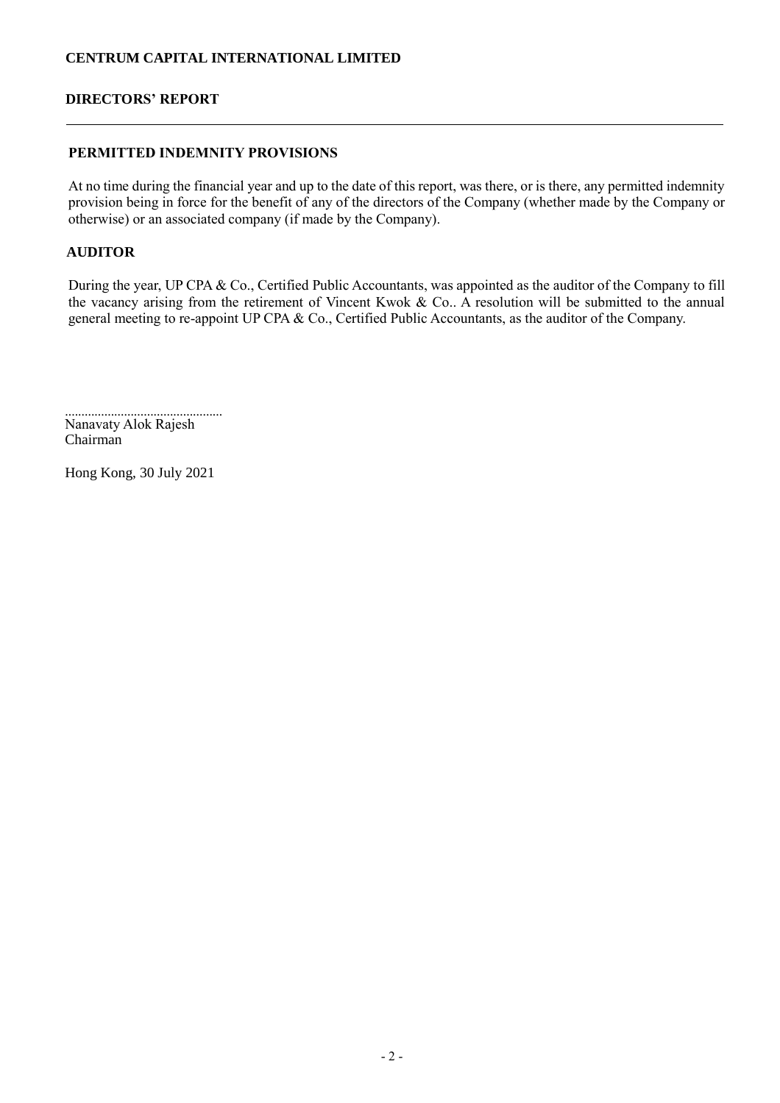### **DIRECTORS' REPORT**

## **PERMITTED INDEMNITY PROVISIONS**

At no time during the financial year and up to the date of this report, was there, or is there, any permitted indemnity provision being in force for the benefit of any of the directors of the Company (whether made by the Company or otherwise) or an associated company (if made by the Company).

## **AUDITOR**

During the year, UP CPA & Co., Certified Public Accountants, was appointed as the auditor of the Company to fill the vacancy arising from the retirement of Vincent Kwok & Co.. A resolution will be submitted to the annual general meeting to re-appoint UP CPA & Co., Certified Public Accountants, as the auditor of the Company.

................................................ Nanavaty Alok Rajesh Chairman

Hong Kong, 30 July 2021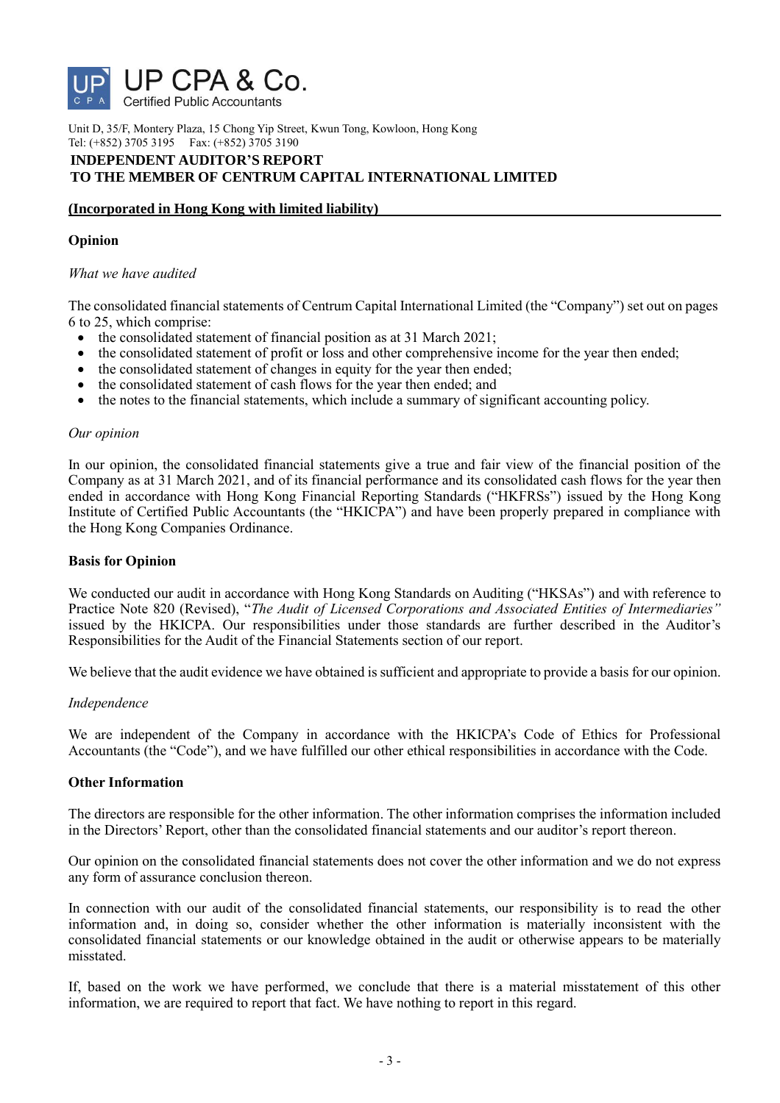

Unit D, 35/F, Montery Plaza, 15 Chong Yip Street, Kwun Tong, Kowloon, Hong Kong Tel: (+852) 3705 3195 Fax: (+852) 3705 3190

### **INDEPENDENT AUDITOR'S REPORT TO THE MEMBER OF CENTRUM CAPITAL INTERNATIONAL LIMITED**

# **(Incorporated in Hong Kong with limited liability)**

### **Opinion**

### *What we have audited*

The consolidated financial statements of Centrum Capital International Limited (the "Company") set out on pages 6 to 25, which comprise:

- the consolidated statement of financial position as at 31 March 2021;
- the consolidated statement of profit or loss and other comprehensive income for the year then ended;
- the consolidated statement of changes in equity for the year then ended;
- the consolidated statement of cash flows for the year then ended; and
- the notes to the financial statements, which include a summary of significant accounting policy.

#### *Our opinion*

In our opinion, the consolidated financial statements give a true and fair view of the financial position of the Company as at 31 March 2021, and of its financial performance and its consolidated cash flows for the year then ended in accordance with Hong Kong Financial Reporting Standards ("HKFRSs") issued by the Hong Kong Institute of Certified Public Accountants (the "HKICPA") and have been properly prepared in compliance with the Hong Kong Companies Ordinance.

### **Basis for Opinion**

We conducted our audit in accordance with Hong Kong Standards on Auditing ("HKSAs") and with reference to Practice Note 820 (Revised), "*The Audit of Licensed Corporations and Associated Entities of Intermediaries"*  issued by the HKICPA. Our responsibilities under those standards are further described in the Auditor's Responsibilities for the Audit of the Financial Statements section of our report.

We believe that the audit evidence we have obtained is sufficient and appropriate to provide a basis for our opinion.

#### *Independence*

We are independent of the Company in accordance with the HKICPA's Code of Ethics for Professional Accountants (the "Code"), and we have fulfilled our other ethical responsibilities in accordance with the Code.

#### **Other Information**

The directors are responsible for the other information. The other information comprises the information included in the Directors' Report, other than the consolidated financial statements and our auditor's report thereon.

Our opinion on the consolidated financial statements does not cover the other information and we do not express any form of assurance conclusion thereon.

In connection with our audit of the consolidated financial statements, our responsibility is to read the other information and, in doing so, consider whether the other information is materially inconsistent with the consolidated financial statements or our knowledge obtained in the audit or otherwise appears to be materially misstated.

If, based on the work we have performed, we conclude that there is a material misstatement of this other information, we are required to report that fact. We have nothing to report in this regard.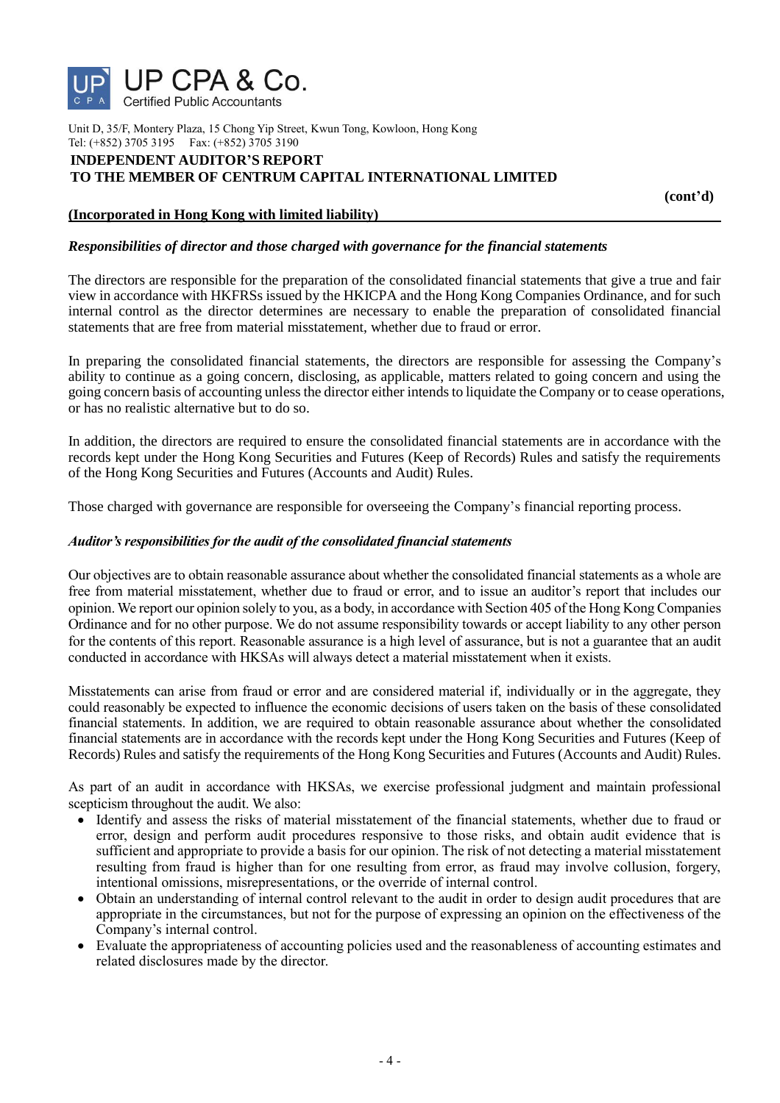

Unit D, 35/F, Montery Plaza, 15 Chong Yip Street, Kwun Tong, Kowloon, Hong Kong Tel: (+852) 3705 3195 Fax: (+852) 3705 3190

#### **INDEPENDENT AUDITOR'S REPORT TO THE MEMBER OF CENTRUM CAPITAL INTERNATIONAL LIMITED**

 **(cont'd)**

### **(Incorporated in Hong Kong with limited liability)**

#### *Responsibilities of director and those charged with governance for the financial statements*

The directors are responsible for the preparation of the consolidated financial statements that give a true and fair view in accordance with HKFRSs issued by the HKICPA and the Hong Kong Companies Ordinance, and for such internal control as the director determines are necessary to enable the preparation of consolidated financial statements that are free from material misstatement, whether due to fraud or error.

In preparing the consolidated financial statements, the directors are responsible for assessing the Company's ability to continue as a going concern, disclosing, as applicable, matters related to going concern and using the going concern basis of accounting unless the director either intends to liquidate the Company or to cease operations, or has no realistic alternative but to do so.

In addition, the directors are required to ensure the consolidated financial statements are in accordance with the records kept under the Hong Kong Securities and Futures (Keep of Records) Rules and satisfy the requirements of the Hong Kong Securities and Futures (Accounts and Audit) Rules.

Those charged with governance are responsible for overseeing the Company's financial reporting process.

#### *Auditor's responsibilities for the audit of the consolidated financial statements*

Our objectives are to obtain reasonable assurance about whether the consolidated financial statements as a whole are free from material misstatement, whether due to fraud or error, and to issue an auditor's report that includes our opinion. We report our opinion solely to you, as a body, in accordance with Section 405 of the Hong Kong Companies Ordinance and for no other purpose. We do not assume responsibility towards or accept liability to any other person for the contents of this report. Reasonable assurance is a high level of assurance, but is not a guarantee that an audit conducted in accordance with HKSAs will always detect a material misstatement when it exists.

Misstatements can arise from fraud or error and are considered material if, individually or in the aggregate, they could reasonably be expected to influence the economic decisions of users taken on the basis of these consolidated financial statements. In addition, we are required to obtain reasonable assurance about whether the consolidated financial statements are in accordance with the records kept under the Hong Kong Securities and Futures (Keep of Records) Rules and satisfy the requirements of the Hong Kong Securities and Futures (Accounts and Audit) Rules.

As part of an audit in accordance with HKSAs, we exercise professional judgment and maintain professional scepticism throughout the audit. We also:

- Identify and assess the risks of material misstatement of the financial statements, whether due to fraud or error, design and perform audit procedures responsive to those risks, and obtain audit evidence that is sufficient and appropriate to provide a basis for our opinion. The risk of not detecting a material misstatement resulting from fraud is higher than for one resulting from error, as fraud may involve collusion, forgery, intentional omissions, misrepresentations, or the override of internal control.
- Obtain an understanding of internal control relevant to the audit in order to design audit procedures that are appropriate in the circumstances, but not for the purpose of expressing an opinion on the effectiveness of the Company's internal control.
- Evaluate the appropriateness of accounting policies used and the reasonableness of accounting estimates and related disclosures made by the director.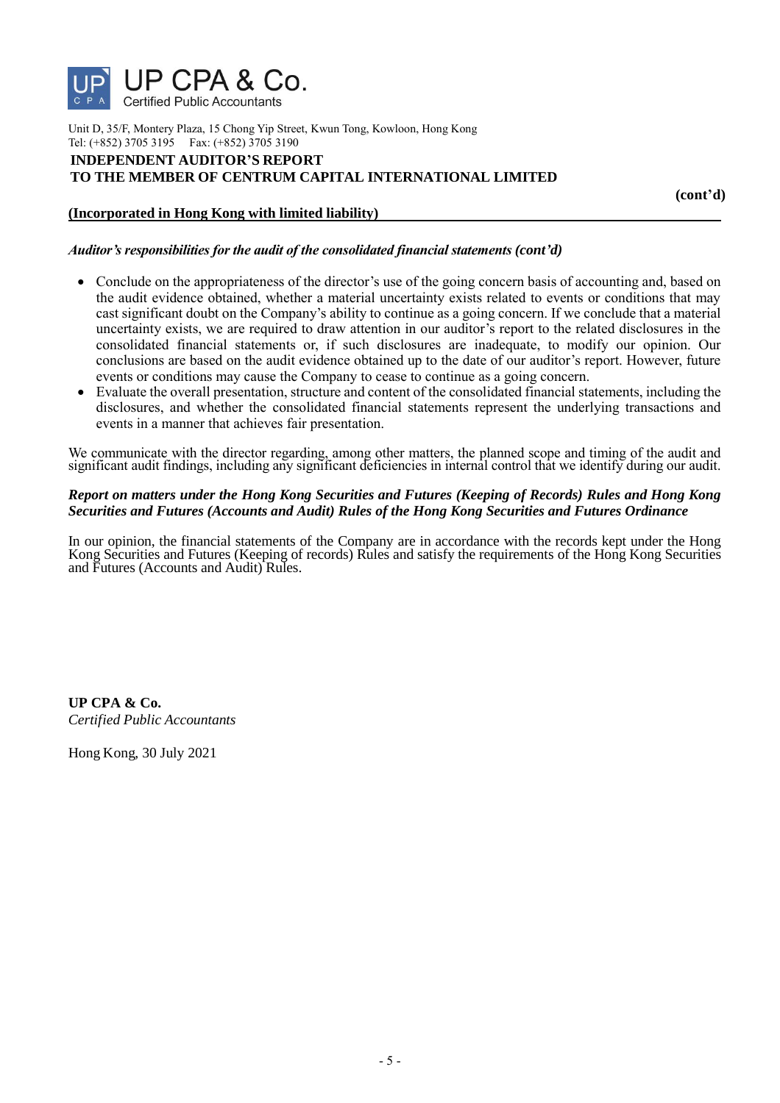

Unit D, 35/F, Montery Plaza, 15 Chong Yip Street, Kwun Tong, Kowloon, Hong Kong Tel: (+852) 3705 3195 Fax: (+852) 3705 3190

### **INDEPENDENT AUDITOR'S REPORT TO THE MEMBER OF CENTRUM CAPITAL INTERNATIONAL LIMITED**

 **(cont'd)**

### **(Incorporated in Hong Kong with limited liability)**

### *Auditor's responsibilities for the audit of the consolidated financial statements (cont'd)*

- Conclude on the appropriateness of the director's use of the going concern basis of accounting and, based on the audit evidence obtained, whether a material uncertainty exists related to events or conditions that may cast significant doubt on the Company's ability to continue as a going concern. If we conclude that a material uncertainty exists, we are required to draw attention in our auditor's report to the related disclosures in the consolidated financial statements or, if such disclosures are inadequate, to modify our opinion. Our conclusions are based on the audit evidence obtained up to the date of our auditor's report. However, future events or conditions may cause the Company to cease to continue as a going concern.
- Evaluate the overall presentation, structure and content of the consolidated financial statements, including the disclosures, and whether the consolidated financial statements represent the underlying transactions and events in a manner that achieves fair presentation.

We communicate with the director regarding, among other matters, the planned scope and timing of the audit and significant audit findings, including any significant deficiencies in internal control that we identify during our audit.

### *Report on matters under the Hong Kong Securities and Futures (Keeping of Records) Rules and Hong Kong Securities and Futures (Accounts and Audit) Rules of the Hong Kong Securities and Futures Ordinance*

In our opinion, the financial statements of the Company are in accordance with the records kept under the Hong Kong Securities and Futures (Keeping of records) Rules and satisfy the requirements of the Hong Kong Securities and Futures (Accounts and Audit) Rules.

**UP CPA & Co.** *Certified Public Accountants*

Hong Kong, 30 July 2021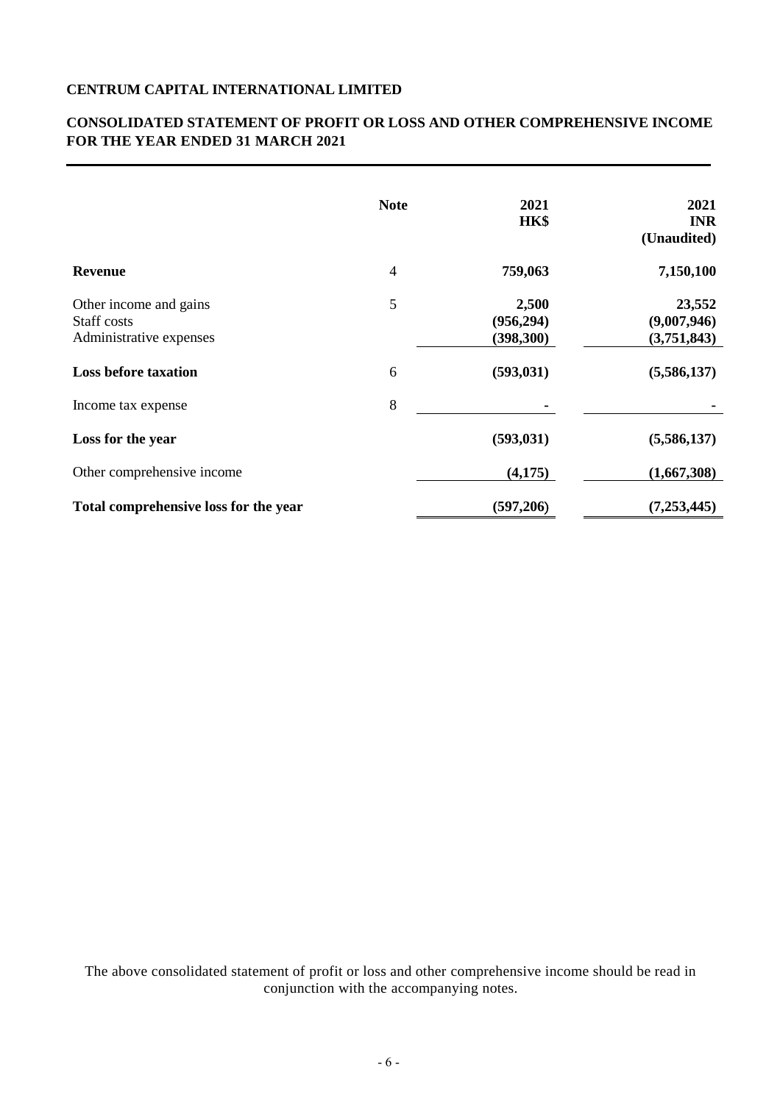# **CONSOLIDATED STATEMENT OF PROFIT OR LOSS AND OTHER COMPREHENSIVE INCOME FOR THE YEAR ENDED 31 MARCH 2021**

|                                       | <b>Note</b>    | 2021       | 2021        |
|---------------------------------------|----------------|------------|-------------|
|                                       |                | HK\$       | <b>INR</b>  |
|                                       |                |            | (Unaudited) |
| <b>Revenue</b>                        | $\overline{4}$ | 759,063    | 7,150,100   |
| Other income and gains                | 5              | 2,500      | 23,552      |
| Staff costs                           |                | (956, 294) | (9,007,946) |
| Administrative expenses               |                | (398, 300) | (3,751,843) |
| <b>Loss before taxation</b>           | 6              | (593, 031) | (5,586,137) |
| Income tax expense                    | 8              |            |             |
| Loss for the year                     |                | (593, 031) | (5,586,137) |
| Other comprehensive income            |                | (4,175)    | (1,667,308) |
| Total comprehensive loss for the year |                | (597,206)  | (7,253,445) |

The above consolidated statement of profit or loss and other comprehensive income should be read in conjunction with the accompanying notes.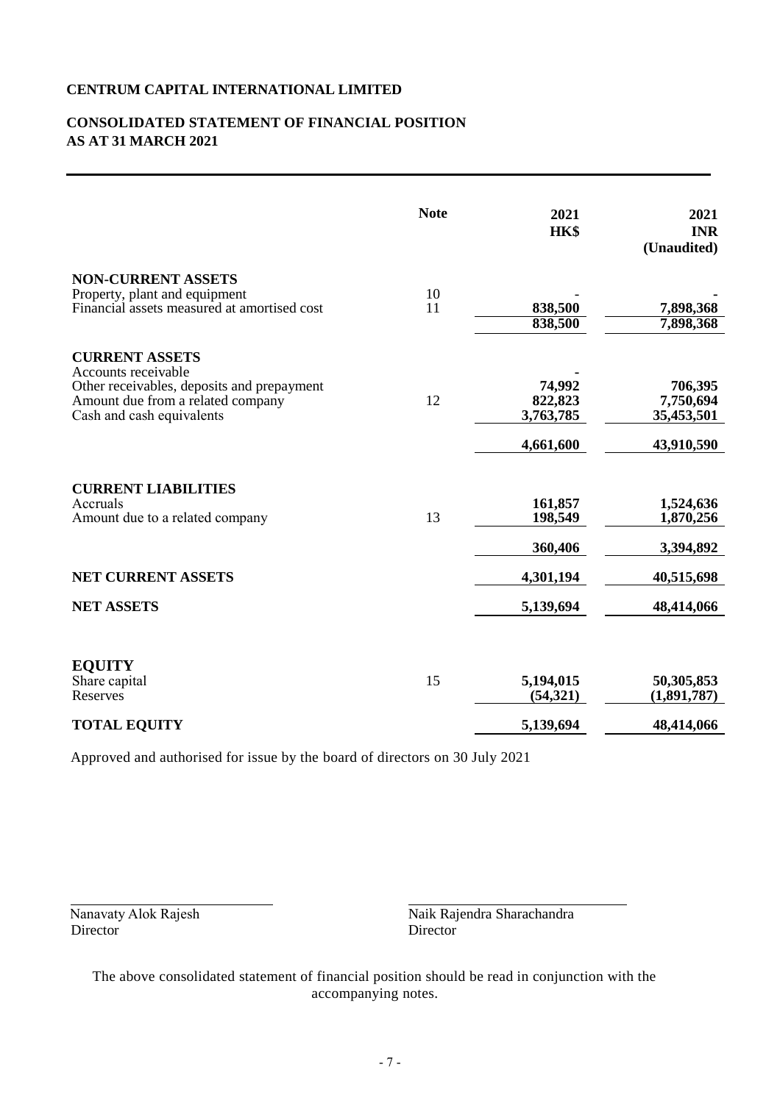# **CONSOLIDATED STATEMENT OF FINANCIAL POSITION AS AT 31 MARCH 2021**

|                                                                                                                                                              | <b>Note</b> | 2021<br>HK\$                                | 2021<br><b>INR</b><br>(Unaudited)                |
|--------------------------------------------------------------------------------------------------------------------------------------------------------------|-------------|---------------------------------------------|--------------------------------------------------|
| <b>NON-CURRENT ASSETS</b><br>Property, plant and equipment<br>Financial assets measured at amortised cost                                                    | 10<br>11    | 838,500<br>838,500                          | 7,898,368<br>7,898,368                           |
| <b>CURRENT ASSETS</b><br>Accounts receivable<br>Other receivables, deposits and prepayment<br>Amount due from a related company<br>Cash and cash equivalents | 12          | 74,992<br>822,823<br>3,763,785<br>4,661,600 | 706,395<br>7,750,694<br>35,453,501<br>43,910,590 |
| <b>CURRENT LIABILITIES</b><br>Accruals<br>Amount due to a related company                                                                                    | 13          | 161,857<br>198,549<br>360,406               | 1,524,636<br>1,870,256<br>3,394,892              |
| <b>NET CURRENT ASSETS</b>                                                                                                                                    |             | 4,301,194                                   | 40,515,698                                       |
| <b>NET ASSETS</b>                                                                                                                                            |             | 5,139,694                                   | 48,414,066                                       |
| <b>EQUITY</b><br>Share capital<br>Reserves                                                                                                                   | 15          | 5,194,015<br>(54, 321)                      | 50,305,853<br>(1,891,787)                        |
| <b>TOTAL EQUITY</b>                                                                                                                                          |             | 5,139,694                                   | 48,414,066                                       |

Approved and authorised for issue by the board of directors on 30 July 2021

Director

Nanavaty Alok Rajesh Naik Rajendra Sharachandra<br>Director Director

The above consolidated statement of financial position should be read in conjunction with the accompanying notes.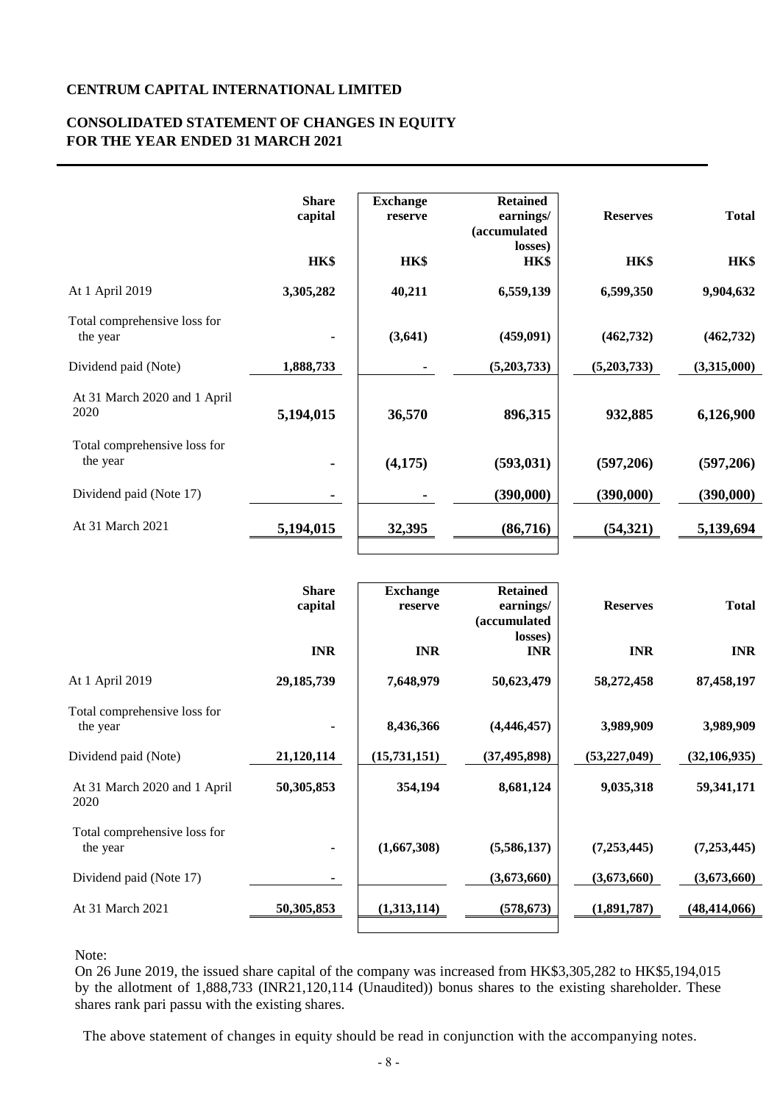# **CONSOLIDATED STATEMENT OF CHANGES IN EQUITY FOR THE YEAR ENDED 31 MARCH 2021**

|                                          | <b>Share</b><br>capital | <b>Exchange</b><br>reserve | <b>Retained</b><br>earnings/<br>(accumulated            | <b>Reserves</b> | <b>Total</b> |
|------------------------------------------|-------------------------|----------------------------|---------------------------------------------------------|-----------------|--------------|
|                                          | HK\$                    | HK\$                       | losses)<br>HK\$                                         | HK\$            | HK\$         |
| At 1 April 2019                          | 3,305,282               | 40,211                     | 6,559,139                                               | 6,599,350       | 9,904,632    |
| Total comprehensive loss for<br>the year |                         | (3, 641)                   | (459,091)                                               | (462, 732)      | (462, 732)   |
| Dividend paid (Note)                     | 1,888,733               |                            | (5,203,733)                                             | (5,203,733)     | (3,315,000)  |
| At 31 March 2020 and 1 April<br>2020     | 5,194,015               | 36,570                     | 896,315                                                 | 932,885         | 6,126,900    |
| Total comprehensive loss for<br>the year |                         | (4, 175)                   | (593, 031)                                              | (597,206)       | (597,206)    |
| Dividend paid (Note 17)                  |                         |                            | (390,000)                                               | (390,000)       | (390,000)    |
| At 31 March 2021                         | 5,194,015               | 32,395                     | (86,716)                                                | (54, 321)       | 5,139,694    |
|                                          |                         |                            |                                                         |                 |              |
|                                          | <b>Share</b><br>capital | <b>Exchange</b><br>reserve | <b>Retained</b><br>earnings/<br>(accumulated<br>losses) | <b>Reserves</b> | <b>Total</b> |
|                                          | <b>TATD</b>             | <b>TATD</b>                | <b>TATD</b>                                             | <b>TATD</b>     | <b>TATD</b>  |

|                                          | <b>INR</b>   | <b>INR</b>   | <i>s</i> accumunation<br>losses)<br><b>INR</b> | <b>INR</b>     | <b>INR</b>     |
|------------------------------------------|--------------|--------------|------------------------------------------------|----------------|----------------|
| At 1 April 2019                          | 29, 185, 739 | 7,648,979    | 50,623,479                                     | 58,272,458     | 87,458,197     |
| Total comprehensive loss for<br>the year | ۰            | 8,436,366    | (4, 446, 457)                                  | 3,989,909      | 3,989,909      |
| Dividend paid (Note)                     | 21,120,114   | (15,731,151) | (37, 495, 898)                                 | (53, 227, 049) | (32, 106, 935) |
| At 31 March 2020 and 1 April<br>2020     | 50,305,853   | 354,194      | 8,681,124                                      | 9,035,318      | 59,341,171     |
| Total comprehensive loss for<br>the year | ۰            | (1,667,308)  | (5,586,137)                                    | (7,253,445)    | (7, 253, 445)  |
| Dividend paid (Note 17)                  | ٠            |              | (3,673,660)                                    | (3,673,660)    | (3,673,660)    |
| At 31 March 2021                         | 50,305,853   | (1,313,114)  | (578, 673)                                     | (1,891,787)    | (48, 414, 066) |

Note:

On 26 June 2019, the issued share capital of the company was increased from HK\$3,305,282 to HK\$5,194,015 by the allotment of 1,888,733 (INR21,120,114 (Unaudited)) bonus shares to the existing shareholder. These shares rank pari passu with the existing shares.

The above statement of changes in equity should be read in conjunction with the accompanying notes.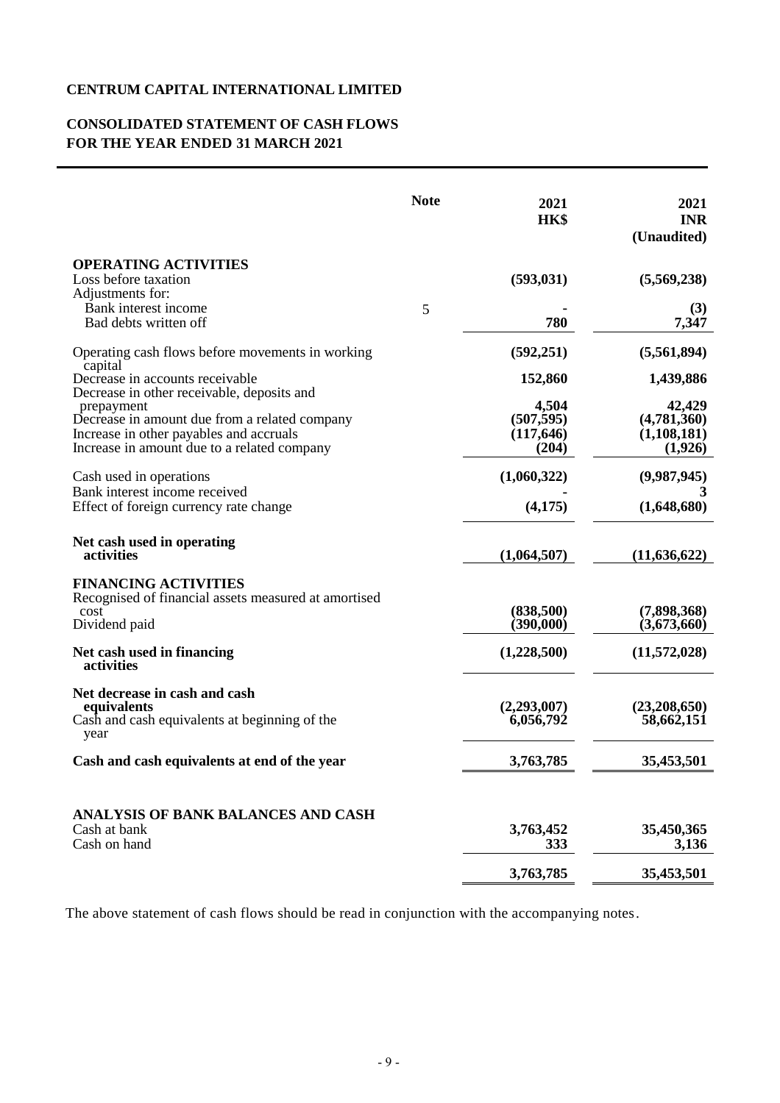# **CONSOLIDATED STATEMENT OF CASH FLOWS FOR THE YEAR ENDED 31 MARCH 2021**

|                                                                                                                                                                                                     | <b>Note</b> | 2021<br>HK\$                               | 2021<br><b>INR</b><br>(Unaudited)                 |
|-----------------------------------------------------------------------------------------------------------------------------------------------------------------------------------------------------|-------------|--------------------------------------------|---------------------------------------------------|
| <b>OPERATING ACTIVITIES</b><br>Loss before taxation                                                                                                                                                 |             | (593, 031)                                 | (5,569,238)                                       |
| Adjustments for:<br>Bank interest income<br>Bad debts written off                                                                                                                                   | 5           | 780                                        | (3)<br>7,347                                      |
| Operating cash flows before movements in working                                                                                                                                                    |             | (592, 251)                                 | (5,561,894)                                       |
| capital<br>Decrease in accounts receivable                                                                                                                                                          |             | 152,860                                    | 1,439,886                                         |
| Decrease in other receivable, deposits and<br>prepayment<br>Decrease in amount due from a related company<br>Increase in other payables and accruals<br>Increase in amount due to a related company |             | 4,504<br>(507, 595)<br>(117, 646)<br>(204) | 42,429<br>(4,781,360)<br>(1, 108, 181)<br>(1,926) |
| Cash used in operations                                                                                                                                                                             |             | (1,060,322)                                | (9,987,945)                                       |
| Bank interest income received<br>Effect of foreign currency rate change                                                                                                                             |             | (4,175)                                    | 3<br>(1,648,680)                                  |
| Net cash used in operating<br>activities                                                                                                                                                            |             | (1,064,507)                                | (11, 636, 622)                                    |
| <b>FINANCING ACTIVITIES</b><br>Recognised of financial assets measured at amortised<br>cost<br>Dividend paid                                                                                        |             | (838,500)<br>(390,000)                     | (7,898,368)<br>(3,673,660)                        |
| Net cash used in financing<br>activities                                                                                                                                                            |             | (1,228,500)                                | (11,572,028)                                      |
| Net decrease in cash and cash<br>equivalents<br>Cash and cash equivalents at beginning of the<br>year                                                                                               |             | (2,293,007)<br>6,056,792                   | (23,208,650)<br>58,662,151                        |
| Cash and cash equivalents at end of the year                                                                                                                                                        |             | 3,763,785                                  | 35,453,501                                        |
| ANALYSIS OF BANK BALANCES AND CASH<br>Cash at bank<br>Cash on hand                                                                                                                                  |             | 3,763,452<br>333                           | 35,450,365<br>3,136                               |
|                                                                                                                                                                                                     |             | 3,763,785                                  | 35,453,501                                        |

The above statement of cash flows should be read in conjunction with the accompanying notes.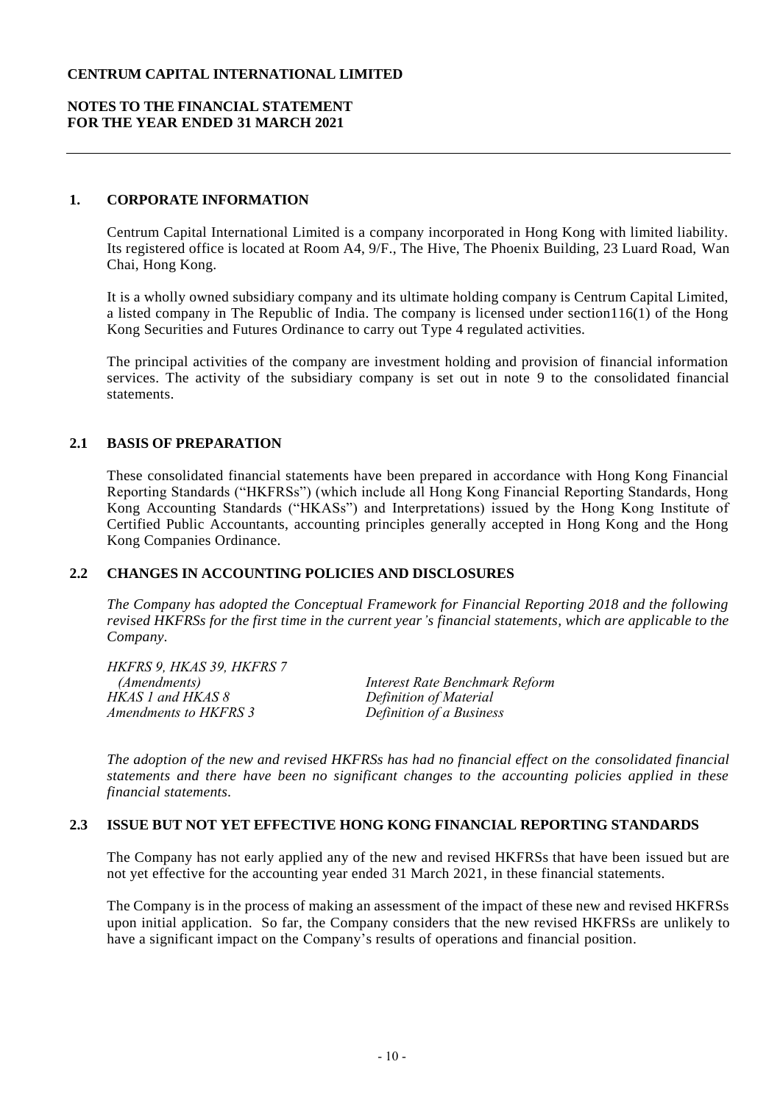### **NOTES TO THE FINANCIAL STATEMENT FOR THE YEAR ENDED 31 MARCH 2021**

### **1. CORPORATE INFORMATION**

Centrum Capital International Limited is a company incorporated in Hong Kong with limited liability. Its registered office is located at Room A4, 9/F., The Hive, The Phoenix Building, 23 Luard Road, Wan Chai, Hong Kong.

It is a wholly owned subsidiary company and its ultimate holding company is Centrum Capital Limited, a listed company in The Republic of India. The company is licensed under section116(1) of the Hong Kong Securities and Futures Ordinance to carry out Type 4 regulated activities.

The principal activities of the company are investment holding and provision of financial information services. The activity of the subsidiary company is set out in note 9 to the consolidated financial statements.

### **2.1 BASIS OF PREPARATION**

These consolidated financial statements have been prepared in accordance with Hong Kong Financial Reporting Standards ("HKFRSs") (which include all Hong Kong Financial Reporting Standards, Hong Kong Accounting Standards ("HKASs") and Interpretations) issued by the Hong Kong Institute of Certified Public Accountants, accounting principles generally accepted in Hong Kong and the Hong Kong Companies Ordinance.

### **2.2 CHANGES IN ACCOUNTING POLICIES AND DISCLOSURES**

*The Company has adopted the Conceptual Framework for Financial Reporting 2018 and the following revised HKFRSs for the first time in the current year's financial statements, which are applicable to the Company.* 

| Interest Rate Benchmark Reform |
|--------------------------------|
| Definition of Material         |
| Definition of a Business       |
|                                |

*The adoption of the new and revised HKFRSs has had no financial effect on the consolidated financial statements and there have been no significant changes to the accounting policies applied in these financial statements.*

## **2.3 ISSUE BUT NOT YET EFFECTIVE HONG KONG FINANCIAL REPORTING STANDARDS**

The Company has not early applied any of the new and revised HKFRSs that have been issued but are not yet effective for the accounting year ended 31 March 2021, in these financial statements.

The Company is in the process of making an assessment of the impact of these new and revised HKFRSs upon initial application. So far, the Company considers that the new revised HKFRSs are unlikely to have a significant impact on the Company's results of operations and financial position.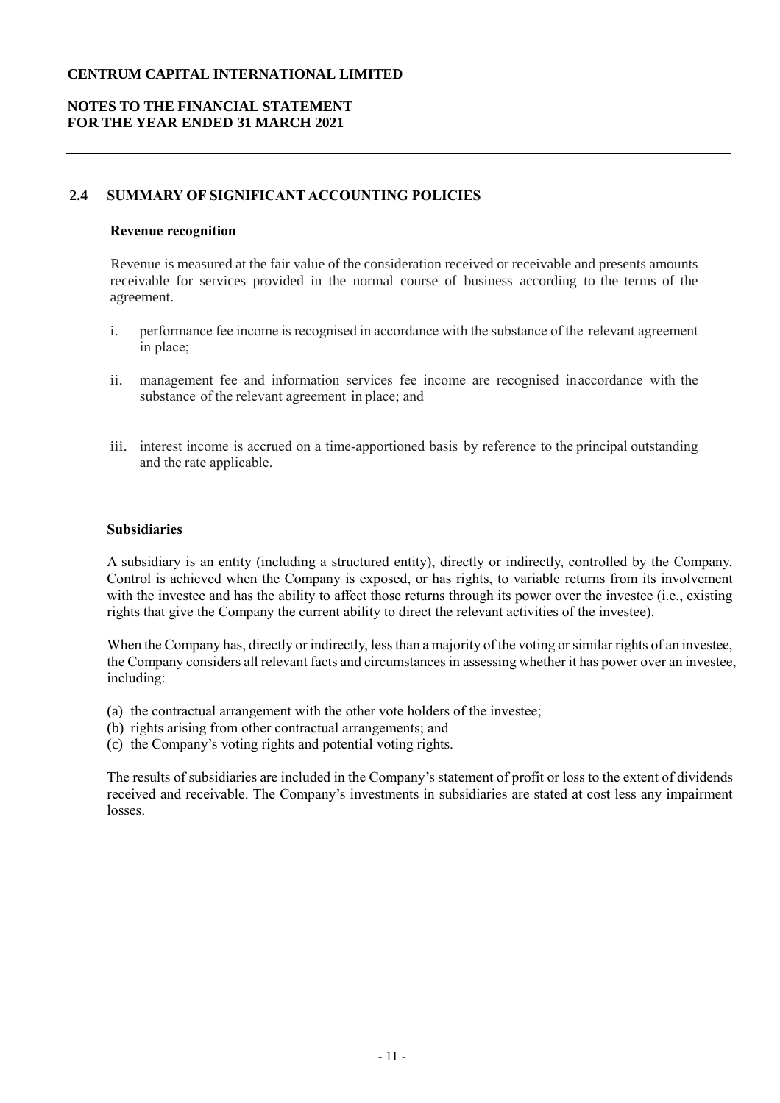# **NOTES TO THE FINANCIAL STATEMENT FOR THE YEAR ENDED 31 MARCH 2021**

## **2.4 SUMMARY OF SIGNIFICANT ACCOUNTING POLICIES**

#### **Revenue recognition**

Revenue is measured at the fair value of the consideration received or receivable and presents amounts receivable for services provided in the normal course of business according to the terms of the agreement.

- i. performance fee income is recognised in accordance with the substance of the relevant agreement in place;
- ii. management fee and information services fee income are recognised inaccordance with the substance of the relevant agreement in place; and
- iii. interest income is accrued on a time-apportioned basis by reference to the principal outstanding and the rate applicable.

### **Subsidiaries**

A subsidiary is an entity (including a structured entity), directly or indirectly, controlled by the Company. Control is achieved when the Company is exposed, or has rights, to variable returns from its involvement with the investee and has the ability to affect those returns through its power over the investee (i.e., existing rights that give the Company the current ability to direct the relevant activities of the investee).

When the Company has, directly or indirectly, less than a majority of the voting or similar rights of an investee, the Company considers all relevant facts and circumstances in assessing whether it has power over an investee, including:

- (a) the contractual arrangement with the other vote holders of the investee;
- (b) rights arising from other contractual arrangements; and
- (c) the Company's voting rights and potential voting rights.

The results of subsidiaries are included in the Company's statement of profit or loss to the extent of dividends received and receivable. The Company's investments in subsidiaries are stated at cost less any impairment losses.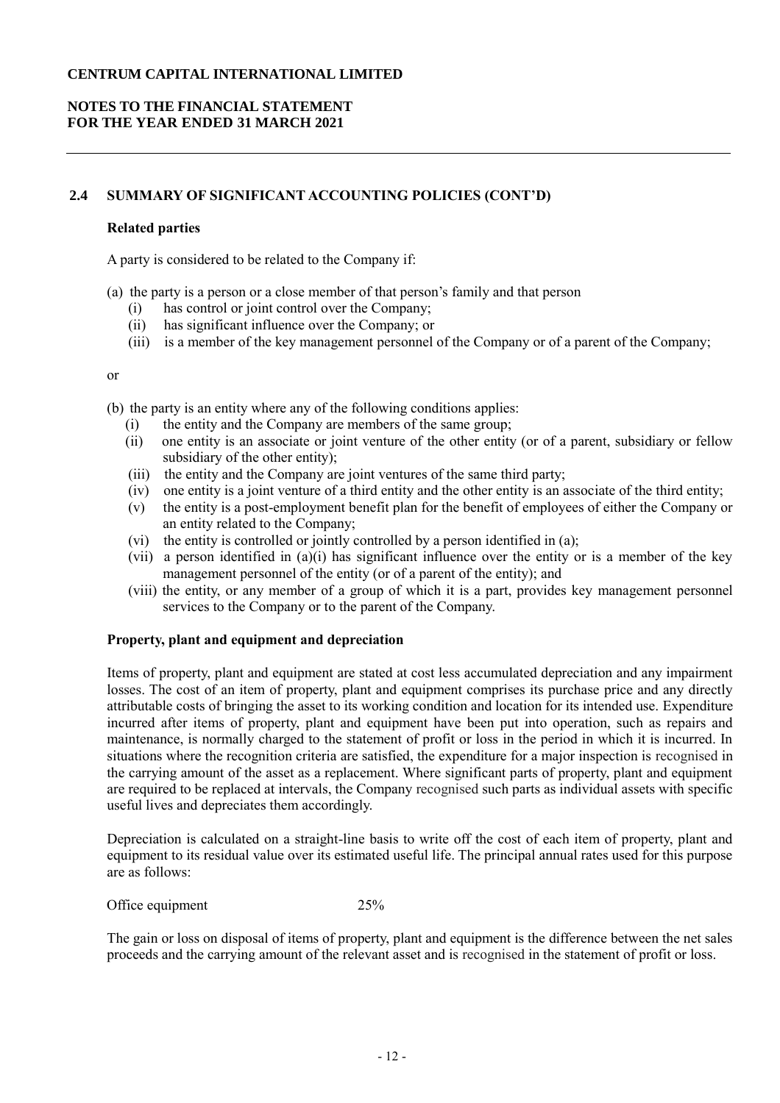# **NOTES TO THE FINANCIAL STATEMENT FOR THE YEAR ENDED 31 MARCH 2021**

### **2.4 SUMMARY OF SIGNIFICANT ACCOUNTING POLICIES (CONT'D)**

#### **Related parties**

A party is considered to be related to the Company if:

- (a) the party is a person or a close member of that person's family and that person
	- (i) has control or joint control over the Company;
	- (ii) has significant influence over the Company; or
	- (iii) is a member of the key management personnel of the Company or of a parent of the Company;

or

- (b) the party is an entity where any of the following conditions applies:
	- (i) the entity and the Company are members of the same group;
	- (ii) one entity is an associate or joint venture of the other entity (or of a parent, subsidiary or fellow subsidiary of the other entity);
	- (iii) the entity and the Company are joint ventures of the same third party;
	- (iv) one entity is a joint venture of a third entity and the other entity is an associate of the third entity;
	- (v) the entity is a post-employment benefit plan for the benefit of employees of either the Company or an entity related to the Company;
	- (vi) the entity is controlled or jointly controlled by a person identified in (a);
	- (vii) a person identified in  $(a)(i)$  has significant influence over the entity or is a member of the key management personnel of the entity (or of a parent of the entity); and
	- (viii) the entity, or any member of a group of which it is a part, provides key management personnel services to the Company or to the parent of the Company.

### **Property, plant and equipment and depreciation**

Items of property, plant and equipment are stated at cost less accumulated depreciation and any impairment losses. The cost of an item of property, plant and equipment comprises its purchase price and any directly attributable costs of bringing the asset to its working condition and location for its intended use. Expenditure incurred after items of property, plant and equipment have been put into operation, such as repairs and maintenance, is normally charged to the statement of profit or loss in the period in which it is incurred. In situations where the recognition criteria are satisfied, the expenditure for a major inspection is recognised in the carrying amount of the asset as a replacement. Where significant parts of property, plant and equipment are required to be replaced at intervals, the Company recognised such parts as individual assets with specific useful lives and depreciates them accordingly.

Depreciation is calculated on a straight-line basis to write off the cost of each item of property, plant and equipment to its residual value over its estimated useful life. The principal annual rates used for this purpose are as follows:

Office equipment 25%

The gain or loss on disposal of items of property, plant and equipment is the difference between the net sales proceeds and the carrying amount of the relevant asset and is recognised in the statement of profit or loss.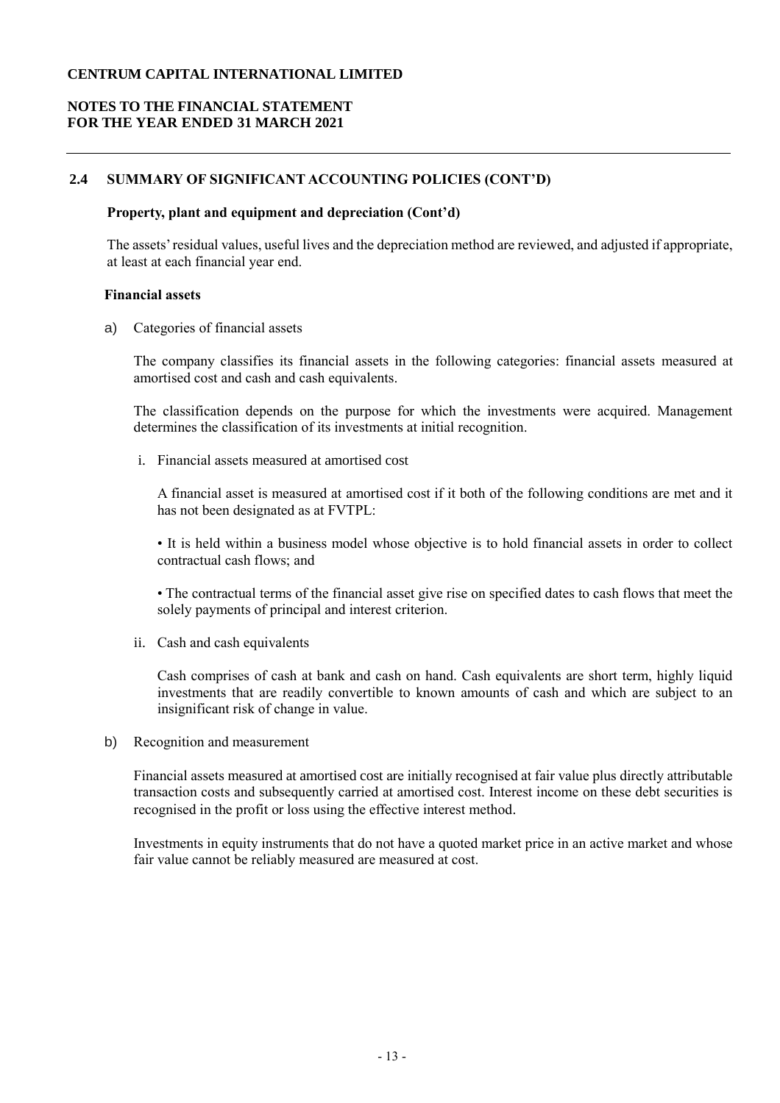# **NOTES TO THE FINANCIAL STATEMENT FOR THE YEAR ENDED 31 MARCH 2021**

# **2.4 SUMMARY OF SIGNIFICANT ACCOUNTING POLICIES (CONT'D)**

#### **Property, plant and equipment and depreciation (Cont'd)**

The assets' residual values, useful lives and the depreciation method are reviewed, and adjusted if appropriate, at least at each financial year end.

#### **Financial assets**

a) Categories of financial assets

The company classifies its financial assets in the following categories: financial assets measured at amortised cost and cash and cash equivalents.

The classification depends on the purpose for which the investments were acquired. Management determines the classification of its investments at initial recognition.

i. Financial assets measured at amortised cost

A financial asset is measured at amortised cost if it both of the following conditions are met and it has not been designated as at FVTPL:

• It is held within a business model whose objective is to hold financial assets in order to collect contractual cash flows; and

• The contractual terms of the financial asset give rise on specified dates to cash flows that meet the solely payments of principal and interest criterion.

ii. Cash and cash equivalents

Cash comprises of cash at bank and cash on hand. Cash equivalents are short term, highly liquid investments that are readily convertible to known amounts of cash and which are subject to an insignificant risk of change in value.

b) Recognition and measurement

Financial assets measured at amortised cost are initially recognised at fair value plus directly attributable transaction costs and subsequently carried at amortised cost. Interest income on these debt securities is recognised in the profit or loss using the effective interest method.

Investments in equity instruments that do not have a quoted market price in an active market and whose fair value cannot be reliably measured are measured at cost.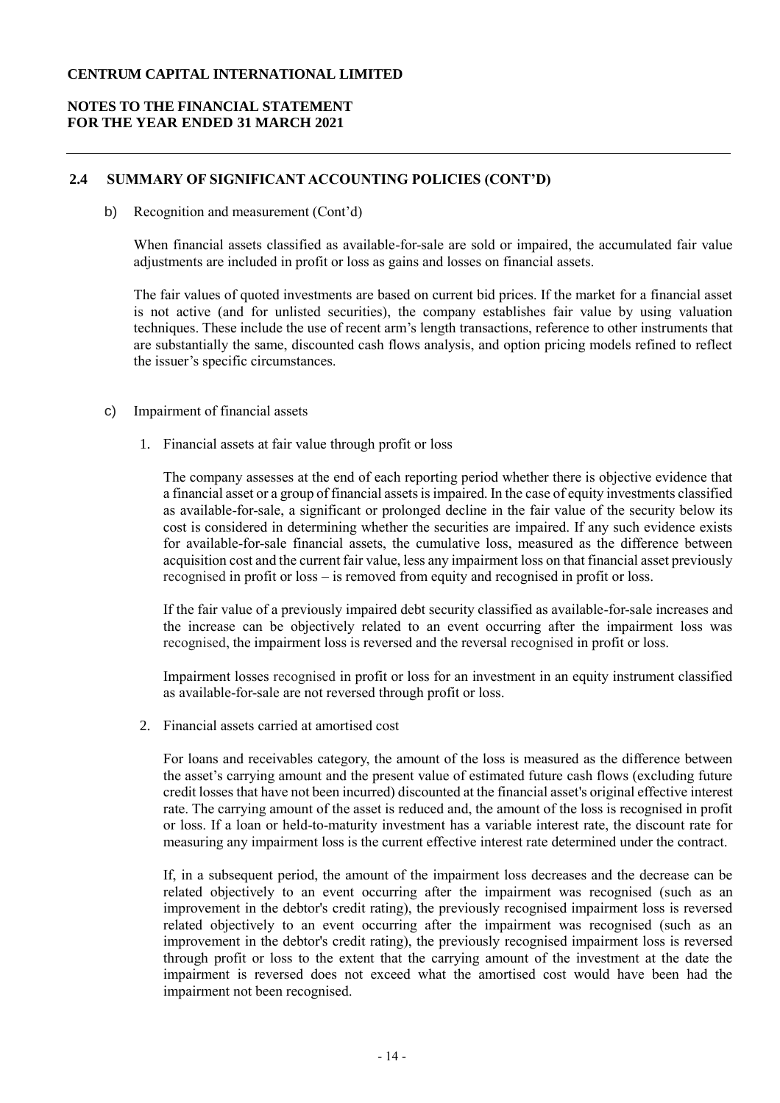# **NOTES TO THE FINANCIAL STATEMENT FOR THE YEAR ENDED 31 MARCH 2021**

### **2.4 SUMMARY OF SIGNIFICANT ACCOUNTING POLICIES (CONT'D)**

b) Recognition and measurement (Cont'd)

When financial assets classified as available-for-sale are sold or impaired, the accumulated fair value adjustments are included in profit or loss as gains and losses on financial assets.

The fair values of quoted investments are based on current bid prices. If the market for a financial asset is not active (and for unlisted securities), the company establishes fair value by using valuation techniques. These include the use of recent arm's length transactions, reference to other instruments that are substantially the same, discounted cash flows analysis, and option pricing models refined to reflect the issuer's specific circumstances.

- c) Impairment of financial assets
	- 1. Financial assets at fair value through profit or loss

The company assesses at the end of each reporting period whether there is objective evidence that a financial asset or a group of financial assets is impaired. In the case of equity investments classified as available-for-sale, a significant or prolonged decline in the fair value of the security below its cost is considered in determining whether the securities are impaired. If any such evidence exists for available-for-sale financial assets, the cumulative loss, measured as the difference between acquisition cost and the current fair value, less any impairment loss on that financial asset previously recognised in profit or loss – is removed from equity and recognised in profit or loss.

If the fair value of a previously impaired debt security classified as available-for-sale increases and the increase can be objectively related to an event occurring after the impairment loss was recognised, the impairment loss is reversed and the reversal recognised in profit or loss.

Impairment losses recognised in profit or loss for an investment in an equity instrument classified as available-for-sale are not reversed through profit or loss.

2. Financial assets carried at amortised cost

For loans and receivables category, the amount of the loss is measured as the difference between the asset's carrying amount and the present value of estimated future cash flows (excluding future credit losses that have not been incurred) discounted at the financial asset's original effective interest rate. The carrying amount of the asset is reduced and, the amount of the loss is recognised in profit or loss. If a loan or held-to-maturity investment has a variable interest rate, the discount rate for measuring any impairment loss is the current effective interest rate determined under the contract.

If, in a subsequent period, the amount of the impairment loss decreases and the decrease can be related objectively to an event occurring after the impairment was recognised (such as an improvement in the debtor's credit rating), the previously recognised impairment loss is reversed related objectively to an event occurring after the impairment was recognised (such as an improvement in the debtor's credit rating), the previously recognised impairment loss is reversed through profit or loss to the extent that the carrying amount of the investment at the date the impairment is reversed does not exceed what the amortised cost would have been had the impairment not been recognised.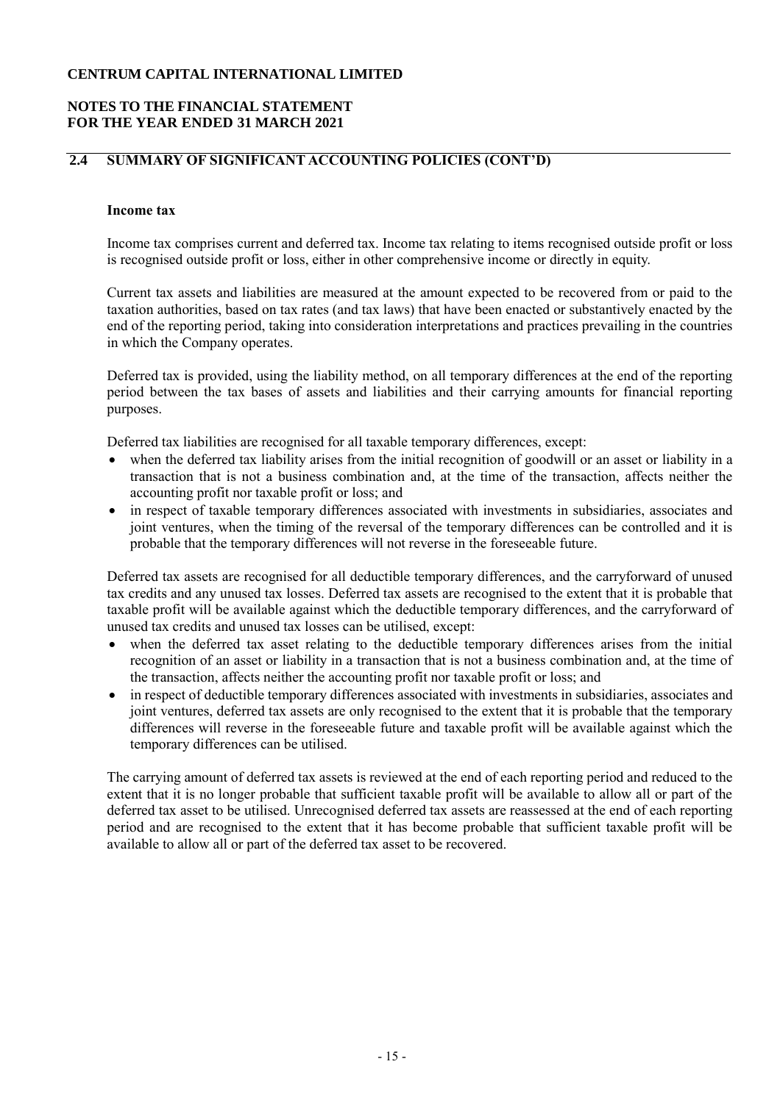## **NOTES TO THE FINANCIAL STATEMENT FOR THE YEAR ENDED 31 MARCH 2021**

# **2.4 SUMMARY OF SIGNIFICANT ACCOUNTING POLICIES (CONT'D)**

### **Income tax**

Income tax comprises current and deferred tax. Income tax relating to items recognised outside profit or loss is recognised outside profit or loss, either in other comprehensive income or directly in equity.

Current tax assets and liabilities are measured at the amount expected to be recovered from or paid to the taxation authorities, based on tax rates (and tax laws) that have been enacted or substantively enacted by the end of the reporting period, taking into consideration interpretations and practices prevailing in the countries in which the Company operates.

Deferred tax is provided, using the liability method, on all temporary differences at the end of the reporting period between the tax bases of assets and liabilities and their carrying amounts for financial reporting purposes.

Deferred tax liabilities are recognised for all taxable temporary differences, except:

- when the deferred tax liability arises from the initial recognition of goodwill or an asset or liability in a transaction that is not a business combination and, at the time of the transaction, affects neither the accounting profit nor taxable profit or loss; and
- in respect of taxable temporary differences associated with investments in subsidiaries, associates and joint ventures, when the timing of the reversal of the temporary differences can be controlled and it is probable that the temporary differences will not reverse in the foreseeable future.

Deferred tax assets are recognised for all deductible temporary differences, and the carryforward of unused tax credits and any unused tax losses. Deferred tax assets are recognised to the extent that it is probable that taxable profit will be available against which the deductible temporary differences, and the carryforward of unused tax credits and unused tax losses can be utilised, except:

- when the deferred tax asset relating to the deductible temporary differences arises from the initial recognition of an asset or liability in a transaction that is not a business combination and, at the time of the transaction, affects neither the accounting profit nor taxable profit or loss; and
- in respect of deductible temporary differences associated with investments in subsidiaries, associates and joint ventures, deferred tax assets are only recognised to the extent that it is probable that the temporary differences will reverse in the foreseeable future and taxable profit will be available against which the temporary differences can be utilised.

The carrying amount of deferred tax assets is reviewed at the end of each reporting period and reduced to the extent that it is no longer probable that sufficient taxable profit will be available to allow all or part of the deferred tax asset to be utilised. Unrecognised deferred tax assets are reassessed at the end of each reporting period and are recognised to the extent that it has become probable that sufficient taxable profit will be available to allow all or part of the deferred tax asset to be recovered.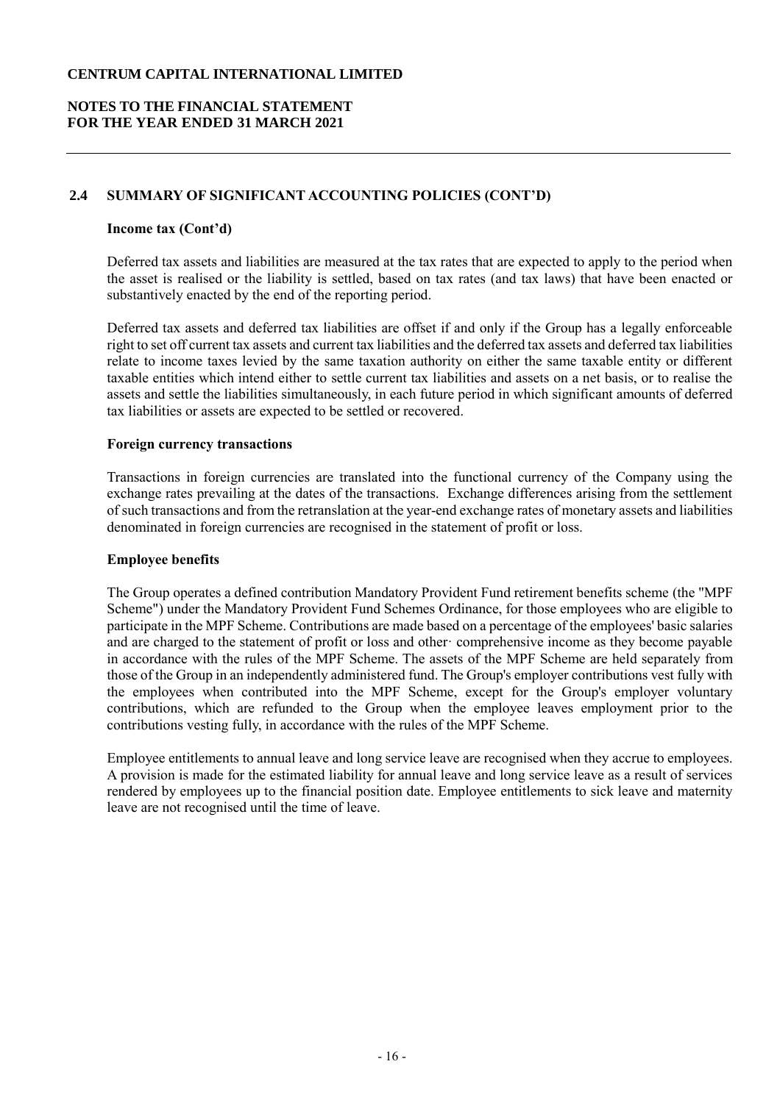# **NOTES TO THE FINANCIAL STATEMENT FOR THE YEAR ENDED 31 MARCH 2021**

## **2.4 SUMMARY OF SIGNIFICANT ACCOUNTING POLICIES (CONT'D)**

#### **Income tax (Cont'd)**

Deferred tax assets and liabilities are measured at the tax rates that are expected to apply to the period when the asset is realised or the liability is settled, based on tax rates (and tax laws) that have been enacted or substantively enacted by the end of the reporting period.

Deferred tax assets and deferred tax liabilities are offset if and only if the Group has a legally enforceable right to set off current tax assets and current tax liabilities and the deferred tax assets and deferred tax liabilities relate to income taxes levied by the same taxation authority on either the same taxable entity or different taxable entities which intend either to settle current tax liabilities and assets on a net basis, or to realise the assets and settle the liabilities simultaneously, in each future period in which significant amounts of deferred tax liabilities or assets are expected to be settled or recovered.

#### **Foreign currency transactions**

Transactions in foreign currencies are translated into the functional currency of the Company using the exchange rates prevailing at the dates of the transactions. Exchange differences arising from the settlement of such transactions and from the retranslation at the year-end exchange rates of monetary assets and liabilities denominated in foreign currencies are recognised in the statement of profit or loss.

#### **Employee benefits**

The Group operates a defined contribution Mandatory Provident Fund retirement benefits scheme (the "MPF Scheme") under the Mandatory Provident Fund Schemes Ordinance, for those employees who are eligible to participate in the MPF Scheme. Contributions are made based on a percentage of the employees' basic salaries and are charged to the statement of profit or loss and other comprehensive income as they become payable in accordance with the rules of the MPF Scheme. The assets of the MPF Scheme are held separately from those of the Group in an independently administered fund. The Group's employer contributions vest fully with the employees when contributed into the MPF Scheme, except for the Group's employer voluntary contributions, which are refunded to the Group when the employee leaves employment prior to the contributions vesting fully, in accordance with the rules of the MPF Scheme.

Employee entitlements to annual leave and long service leave are recognised when they accrue to employees. A provision is made for the estimated liability for annual leave and long service leave as a result of services rendered by employees up to the financial position date. Employee entitlements to sick leave and maternity leave are not recognised until the time of leave.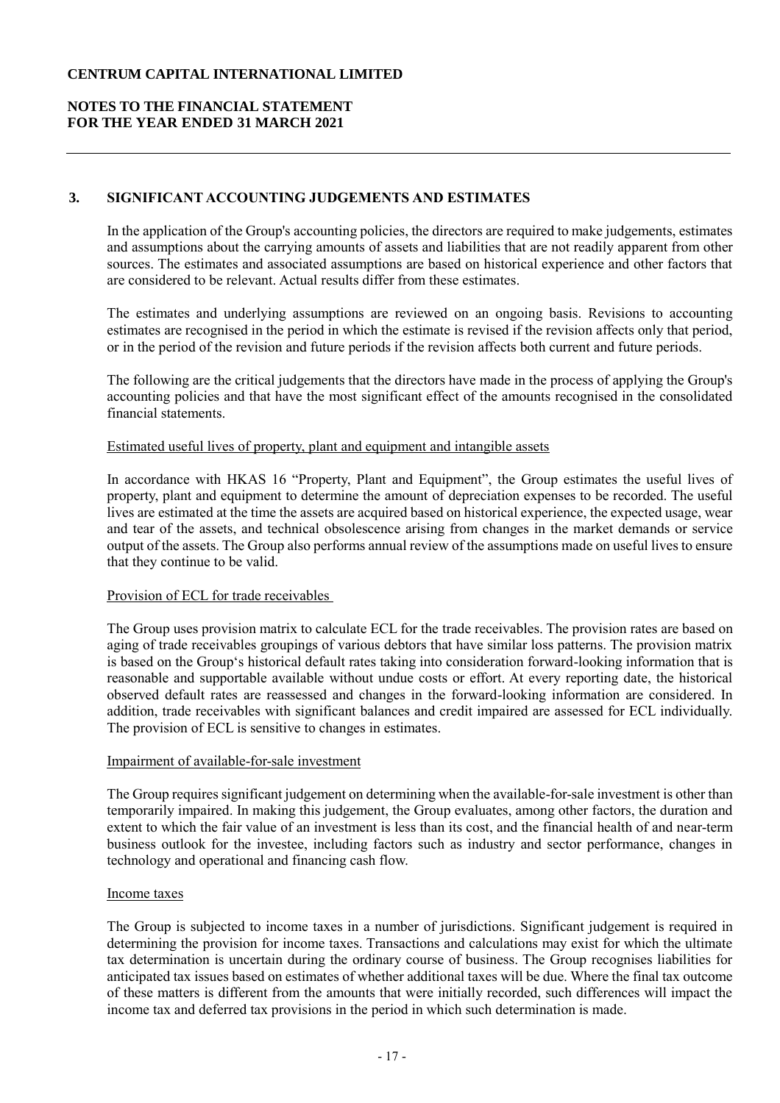# **NOTES TO THE FINANCIAL STATEMENT FOR THE YEAR ENDED 31 MARCH 2021**

# **3. SIGNIFICANT ACCOUNTING JUDGEMENTS AND ESTIMATES**

In the application of the Group's accounting policies, the directors are required to make judgements, estimates and assumptions about the carrying amounts of assets and liabilities that are not readily apparent from other sources. The estimates and associated assumptions are based on historical experience and other factors that are considered to be relevant. Actual results differ from these estimates.

The estimates and underlying assumptions are reviewed on an ongoing basis. Revisions to accounting estimates are recognised in the period in which the estimate is revised if the revision affects only that period, or in the period of the revision and future periods if the revision affects both current and future periods.

The following are the critical judgements that the directors have made in the process of applying the Group's accounting policies and that have the most significant effect of the amounts recognised in the consolidated financial statements.

### Estimated useful lives of property, plant and equipment and intangible assets

In accordance with HKAS 16 "Property, Plant and Equipment", the Group estimates the useful lives of property, plant and equipment to determine the amount of depreciation expenses to be recorded. The useful lives are estimated at the time the assets are acquired based on historical experience, the expected usage, wear and tear of the assets, and technical obsolescence arising from changes in the market demands or service output of the assets. The Group also performs annual review of the assumptions made on useful lives to ensure that they continue to be valid.

### Provision of ECL for trade receivables

The Group uses provision matrix to calculate ECL for the trade receivables. The provision rates are based on aging of trade receivables groupings of various debtors that have similar loss patterns. The provision matrix is based on the Group's historical default rates taking into consideration forward-looking information that is reasonable and supportable available without undue costs or effort. At every reporting date, the historical observed default rates are reassessed and changes in the forward-looking information are considered. In addition, trade receivables with significant balances and credit impaired are assessed for ECL individually. The provision of ECL is sensitive to changes in estimates.

#### Impairment of available-for-sale investment

The Group requires significant judgement on determining when the available-for-sale investment is other than temporarily impaired. In making this judgement, the Group evaluates, among other factors, the duration and extent to which the fair value of an investment is less than its cost, and the financial health of and near-term business outlook for the investee, including factors such as industry and sector performance, changes in technology and operational and financing cash flow.

#### Income taxes

The Group is subjected to income taxes in a number of jurisdictions. Significant judgement is required in determining the provision for income taxes. Transactions and calculations may exist for which the ultimate tax determination is uncertain during the ordinary course of business. The Group recognises liabilities for anticipated tax issues based on estimates of whether additional taxes will be due. Where the final tax outcome of these matters is different from the amounts that were initially recorded, such differences will impact the income tax and deferred tax provisions in the period in which such determination is made.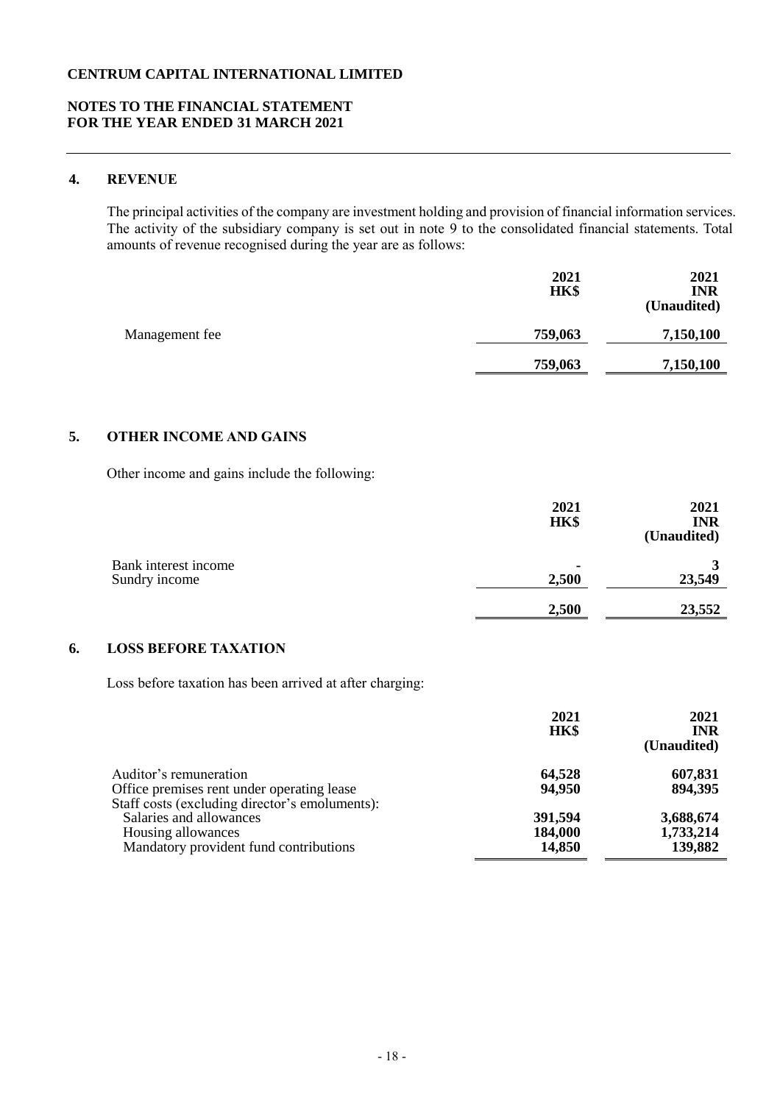### **NOTES TO THE FINANCIAL STATEMENT FOR THE YEAR ENDED 31 MARCH 2021**

# **4. REVENUE**

The principal activities of the company are investment holding and provision of financial information services. The activity of the subsidiary company is set out in note 9 to the consolidated financial statements. Total amounts of revenue recognised during the year are as follows:

|                | 2021<br>HK\$ | 2021<br><b>INR</b><br>(Unaudited) |
|----------------|--------------|-----------------------------------|
| Management fee | 759,063      | 7,150,100                         |
|                | 759,063      | 7,150,100                         |

### **5. OTHER INCOME AND GAINS**

Other income and gains include the following:

|                                       | 2021<br>HK\$ | 2021<br><b>INR</b><br>(Unaudited) |
|---------------------------------------|--------------|-----------------------------------|
| Bank interest income<br>Sundry income | 2,500        | 23,549                            |
|                                       | 2,500        | 23,552                            |

### **6. LOSS BEFORE TAXATION**

Loss before taxation has been arrived at after charging:

|                                                                                                                        | 2021<br>HK\$                 | 2021<br><b>INR</b><br>(Unaudited) |
|------------------------------------------------------------------------------------------------------------------------|------------------------------|-----------------------------------|
| Auditor's remuneration<br>Office premises rent under operating lease<br>Staff costs (excluding director's emoluments): | 64,528<br>94,950             | 607,831<br>894,395                |
| Salaries and allowances<br>Housing allowances<br>Mandatory provident fund contributions                                | 391,594<br>184,000<br>14,850 | 3,688,674<br>1,733,214<br>139,882 |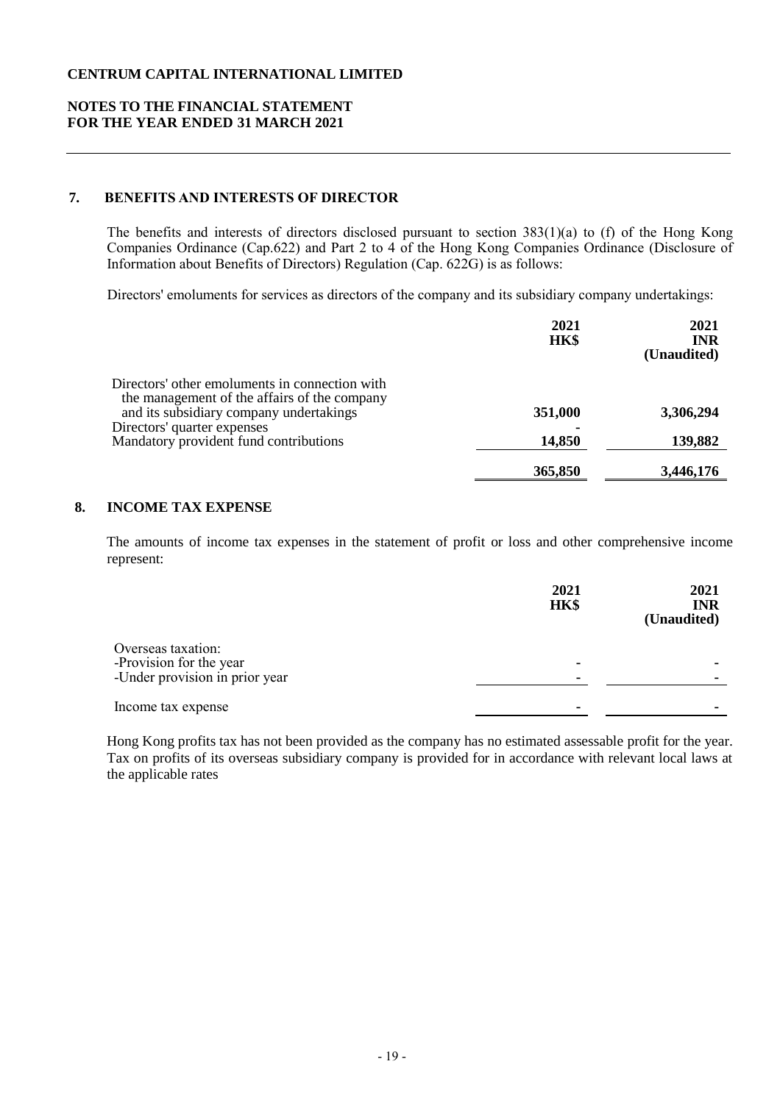### **NOTES TO THE FINANCIAL STATEMENT FOR THE YEAR ENDED 31 MARCH 2021**

# **7. BENEFITS AND INTERESTS OF DIRECTOR**

The benefits and interests of directors disclosed pursuant to section 383(1)(a) to (f) of the Hong Kong Companies Ordinance (Cap.622) and Part 2 to 4 of the Hong Kong Companies Ordinance (Disclosure of Information about Benefits of Directors) Regulation (Cap. 622G) is as follows:

Directors' emoluments for services as directors of the company and its subsidiary company undertakings:

| 2021<br>HK\$ | 2021<br><b>INR</b><br>(Unaudited) |
|--------------|-----------------------------------|
|              |                                   |
| 351,000      | 3,306,294                         |
|              |                                   |
| 14,850       | 139,882                           |
| 365,850      | 3,446,176                         |
|              |                                   |

#### **8. INCOME TAX EXPENSE**

The amounts of income tax expenses in the statement of profit or loss and other comprehensive income represent:

|                                                                                 | 2021<br>HK\$ | 2021<br><b>INR</b><br>(Unaudited) |
|---------------------------------------------------------------------------------|--------------|-----------------------------------|
| Overseas taxation:<br>-Provision for the year<br>-Under provision in prior year | ٠            |                                   |
| Income tax expense                                                              | ٠            |                                   |

Hong Kong profits tax has not been provided as the company has no estimated assessable profit for the year. Tax on profits of its overseas subsidiary company is provided for in accordance with relevant local laws at the applicable rates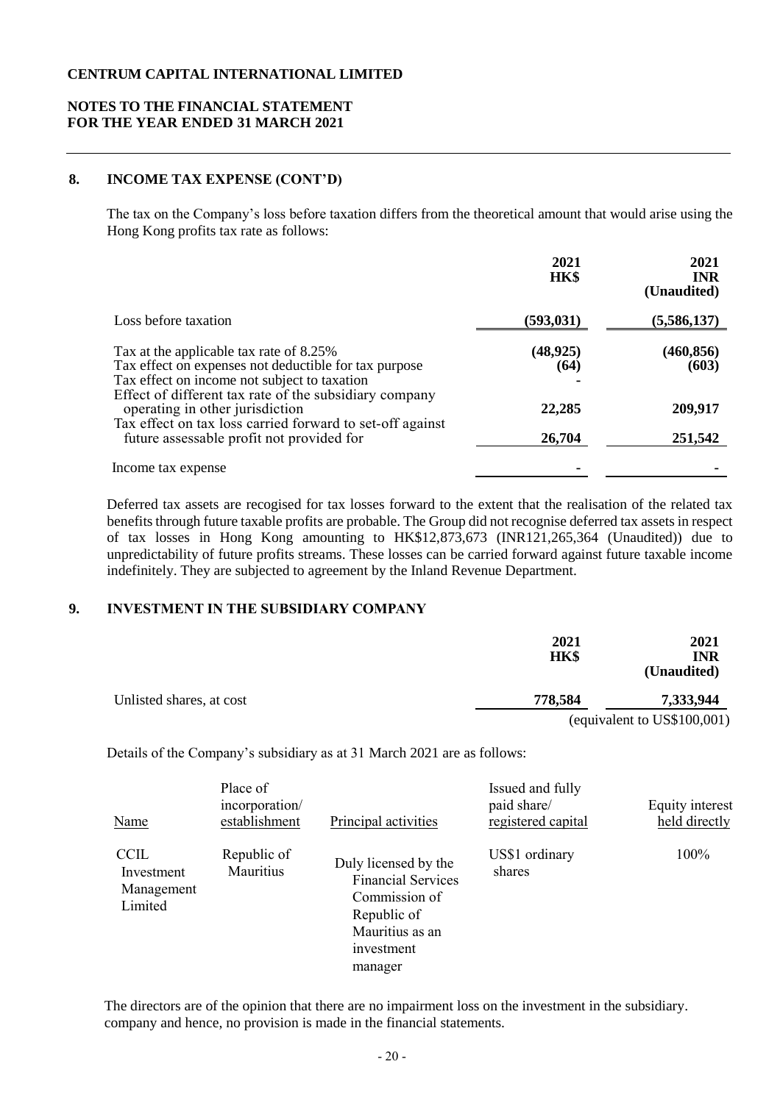## **NOTES TO THE FINANCIAL STATEMENT FOR THE YEAR ENDED 31 MARCH 2021**

# **8. INCOME TAX EXPENSE (CONT'D)**

The tax on the Company's loss before taxation differs from the theoretical amount that would arise using the Hong Kong profits tax rate as follows:

|                                                                                                        | 2021<br><b>HK\$</b> | 2021<br><b>INR</b><br>(Unaudited) |
|--------------------------------------------------------------------------------------------------------|---------------------|-----------------------------------|
| Loss before taxation                                                                                   | (593, 031)          | (5,586,137)                       |
| Tax at the applicable tax rate of 8.25%                                                                | (48, 925)           | (460, 856)                        |
| Tax effect on expenses not deductible for tax purpose                                                  | (64)                | (603)                             |
| Tax effect on income not subject to taxation<br>Effect of different tax rate of the subsidiary company |                     |                                   |
| operating in other jurisdiction                                                                        | 22,285              | 209,917                           |
| Tax effect on tax loss carried forward to set-off against<br>future assessable profit not provided for | 26,704              | 251,542                           |
| Income tax expense                                                                                     |                     |                                   |

Deferred tax assets are recogised for tax losses forward to the extent that the realisation of the related tax benefits through future taxable profits are probable. The Group did not recognise deferred tax assets in respect of tax losses in Hong Kong amounting to HK\$12,873,673 (INR121,265,364 (Unaudited)) due to unpredictability of future profits streams. These losses can be carried forward against future taxable income indefinitely. They are subjected to agreement by the Inland Revenue Department.

### **9. INVESTMENT IN THE SUBSIDIARY COMPANY**

|                          | 2021<br><b>HK\$</b> | 2021<br><b>INR</b><br>(Unaudited) |
|--------------------------|---------------------|-----------------------------------|
| Unlisted shares, at cost | 778,584             | 7,333,944                         |
|                          |                     | (equivalent to US\$100,001)       |

Details of the Company's subsidiary as at 31 March 2021 are as follows:

| Name                                               | Place of<br>incorporation/<br>establishment | <b>Principal activities</b>                                                                                                   | Issued and fully<br>paid share/<br>registered capital | Equity interest<br>held directly |
|----------------------------------------------------|---------------------------------------------|-------------------------------------------------------------------------------------------------------------------------------|-------------------------------------------------------|----------------------------------|
| <b>CCIL</b><br>Investment<br>Management<br>Limited | Republic of<br>Mauritius                    | Duly licensed by the<br><b>Financial Services</b><br>Commission of<br>Republic of<br>Mauritius as an<br>investment<br>manager | US\$1 ordinary<br>shares                              | 100%                             |

The directors are of the opinion that there are no impairment loss on the investment in the subsidiary. company and hence, no provision is made in the financial statements.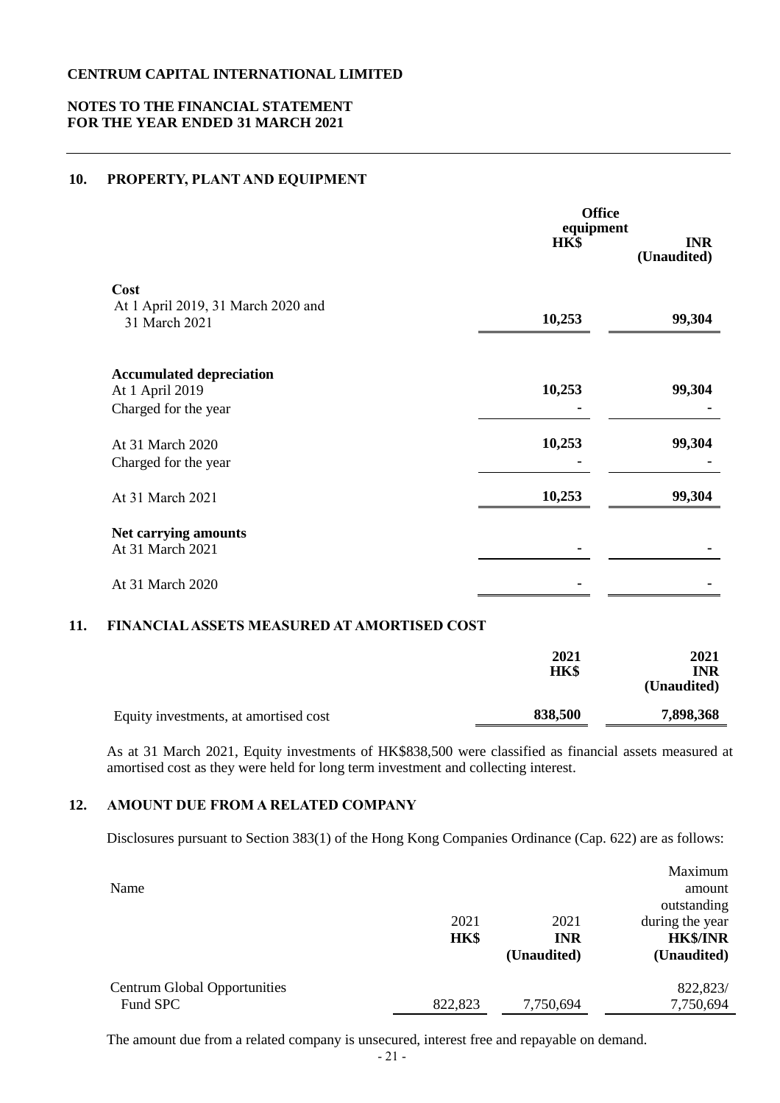### **NOTES TO THE FINANCIAL STATEMENT FOR THE YEAR ENDED 31 MARCH 2021**

### **10. PROPERTY, PLANT AND EQUIPMENT**

|                                                                            | <b>Office</b><br>equipment<br>HK\$ | <b>INR</b><br>(Unaudited) |
|----------------------------------------------------------------------------|------------------------------------|---------------------------|
| Cost<br>At 1 April 2019, 31 March 2020 and<br>31 March 2021                | 10,253                             | 99,304                    |
| <b>Accumulated depreciation</b><br>At 1 April 2019<br>Charged for the year | 10,253                             | 99,304                    |
| At 31 March 2020<br>Charged for the year                                   | 10,253                             | 99,304                    |
| At 31 March 2021                                                           | 10,253                             | 99,304                    |
| Net carrying amounts<br>At 31 March 2021                                   |                                    |                           |
| At 31 March 2020                                                           |                                    |                           |

# **11. FINANCIAL ASSETS MEASURED AT AMORTISED COST**

|                                       | 2021<br><b>HK\$</b> | 2021<br>INR<br>(Unaudited) |
|---------------------------------------|---------------------|----------------------------|
| Equity investments, at amortised cost | 838,500             | 7,898,368                  |

As at 31 March 2021, Equity investments of HK\$838,500 were classified as financial assets measured at amortised cost as they were held for long term investment and collecting interest.

### **12. AMOUNT DUE FROM A RELATED COMPANY**

Disclosures pursuant to Section 383(1) of the Hong Kong Companies Ordinance (Cap. 622) are as follows:

| Name                                | 2021<br>HK\$ | 2021<br><b>INR</b><br>(Unaudited) | Maximum<br>amount<br>outstanding<br>during the year<br><b>HK\$/INR</b><br>(Unaudited) |
|-------------------------------------|--------------|-----------------------------------|---------------------------------------------------------------------------------------|
| <b>Centrum Global Opportunities</b> |              |                                   | 822,823/                                                                              |
| Fund SPC                            | 822,823      | 7,750,694                         | 7,750,694                                                                             |

The amount due from a related company is unsecured, interest free and repayable on demand.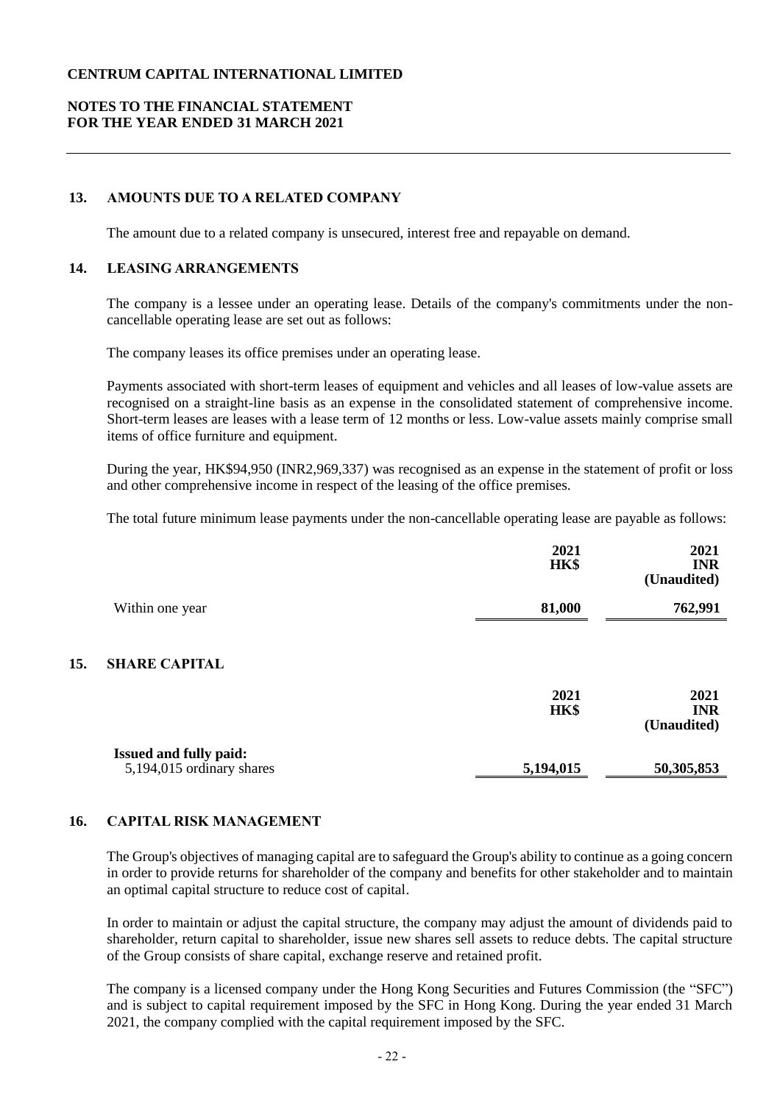# **NOTES TO THE FINANCIAL STATEMENT FOR THE YEAR ENDED 31 MARCH 2021**

# **13. AMOUNTS DUE TO A RELATED COMPANY**

The amount due to a related company is unsecured, interest free and repayable on demand.

### **14. LEASING ARRANGEMENTS**

The company is a lessee under an operating lease. Details of the company's commitments under the noncancellable operating lease are set out as follows:

The company leases its office premises under an operating lease.

Payments associated with short-term leases of equipment and vehicles and all leases of low-value assets are recognised on a straight-line basis as an expense in the consolidated statement of comprehensive income. Short-term leases are leases with a lease term of 12 months or less. Low-value assets mainly comprise small items of office furniture and equipment.

During the year, HK\$94,950 (INR2,969,337) was recognised as an expense in the statement of profit or loss and other comprehensive income in respect of the leasing of the office premises.

The total future minimum lease payments under the non-cancellable operating lease are payable as follows:

|     |                                                            | 2021<br>HK\$ | 2021<br><b>INR</b><br>(Unaudited) |
|-----|------------------------------------------------------------|--------------|-----------------------------------|
|     | Within one year                                            | 81,000       | 762,991                           |
| 15. | <b>SHARE CAPITAL</b>                                       |              |                                   |
|     |                                                            | 2021<br>HK\$ | 2021<br><b>INR</b><br>(Unaudited) |
|     | <b>Issued and fully paid:</b><br>5,194,015 ordinary shares | 5,194,015    | 50,305,853                        |

### **16. CAPITAL RISK MANAGEMENT**

The Group's objectives of managing capital are to safeguard the Group's ability to continue as a going concern in order to provide returns for shareholder of the company and benefits for other stakeholder and to maintain an optimal capital structure to reduce cost of capital.

In order to maintain or adjust the capital structure, the company may adjust the amount of dividends paid to shareholder, return capital to shareholder, issue new shares sell assets to reduce debts. The capital structure of the Group consists of share capital, exchange reserve and retained profit.

The company is a licensed company under the Hong Kong Securities and Futures Commission (the "SFC") and is subject to capital requirement imposed by the SFC in Hong Kong. During the year ended 31 March 2021, the company complied with the capital requirement imposed by the SFC.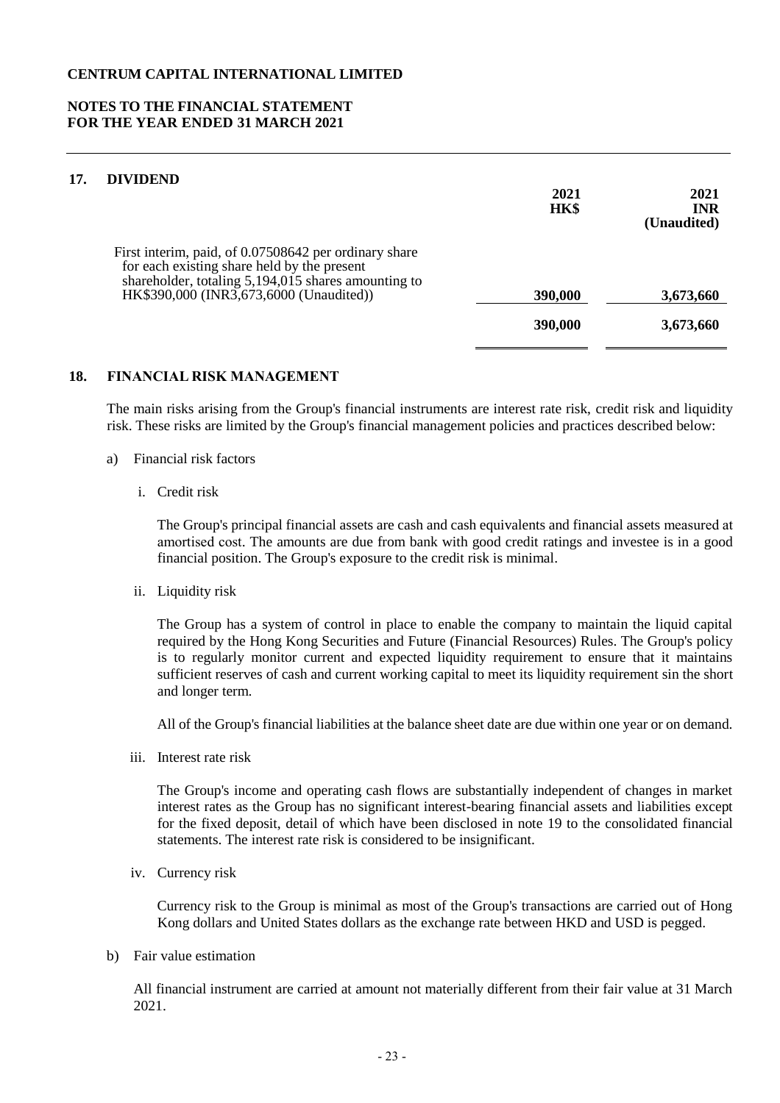### **NOTES TO THE FINANCIAL STATEMENT FOR THE YEAR ENDED 31 MARCH 2021**

# **17. DIVIDEND**

| DIVIDEND                                                                                                                                                                                               | 2021<br>HK\$ | 2021<br><b>INR</b><br>(Unaudited) |
|--------------------------------------------------------------------------------------------------------------------------------------------------------------------------------------------------------|--------------|-----------------------------------|
| First interim, paid, of 0.07508642 per ordinary share<br>for each existing share held by the present<br>shareholder, totaling 5,194,015 shares amounting to<br>HK\$390,000 (INR3,673,6000 (Unaudited)) | 390,000      | 3,673,660                         |
|                                                                                                                                                                                                        | 390,000      | 3,673,660                         |

#### **18. FINANCIAL RISK MANAGEMENT**

The main risks arising from the Group's financial instruments are interest rate risk, credit risk and liquidity risk. These risks are limited by the Group's financial management policies and practices described below:

#### a) Financial risk factors

i. Credit risk

The Group's principal financial assets are cash and cash equivalents and financial assets measured at amortised cost. The amounts are due from bank with good credit ratings and investee is in a good financial position. The Group's exposure to the credit risk is minimal.

ii. Liquidity risk

The Group has a system of control in place to enable the company to maintain the liquid capital required by the Hong Kong Securities and Future (Financial Resources) Rules. The Group's policy is to regularly monitor current and expected liquidity requirement to ensure that it maintains sufficient reserves of cash and current working capital to meet its liquidity requirement sin the short and longer term.

All of the Group's financial liabilities at the balance sheet date are due within one year or on demand.

iii. Interest rate risk

The Group's income and operating cash flows are substantially independent of changes in market interest rates as the Group has no significant interest-bearing financial assets and liabilities except for the fixed deposit, detail of which have been disclosed in note 19 to the consolidated financial statements. The interest rate risk is considered to be insignificant.

iv. Currency risk

Currency risk to the Group is minimal as most of the Group's transactions are carried out of Hong Kong dollars and United States dollars as the exchange rate between HKD and USD is pegged.

b) Fair value estimation

All financial instrument are carried at amount not materially different from their fair value at 31 March 2021.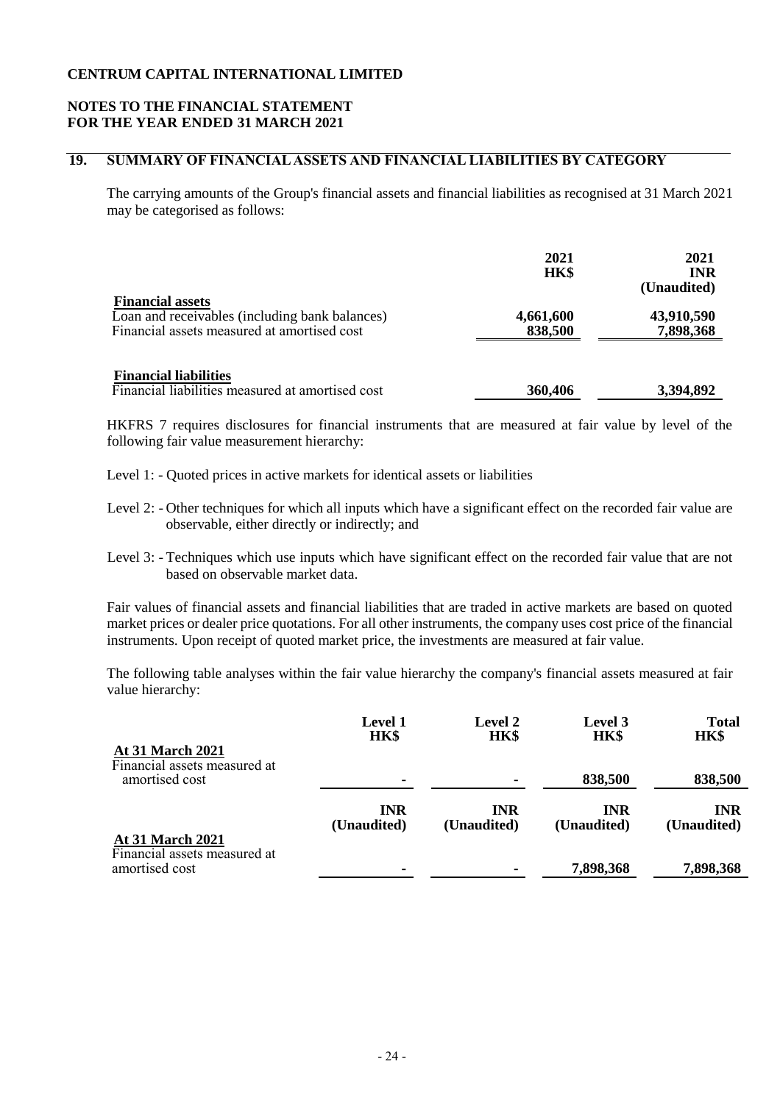## **NOTES TO THE FINANCIAL STATEMENT FOR THE YEAR ENDED 31 MARCH 2021**

# **19. SUMMARY OF FINANCIAL ASSETS AND FINANCIAL LIABILITIES BY CATEGORY**

The carrying amounts of the Group's financial assets and financial liabilities as recognised at 31 March 2021 may be categorised as follows:

|                                                                                                                          | 2021<br><b>HK\$</b>  | 2021<br><b>INR</b><br>(Unaudited) |
|--------------------------------------------------------------------------------------------------------------------------|----------------------|-----------------------------------|
| <b>Financial assets</b><br>Loan and receivables (including bank balances)<br>Financial assets measured at amortised cost | 4,661,600<br>838,500 | 43,910,590<br>7,898,368           |
| <b>Financial liabilities</b><br>Financial liabilities measured at amortised cost                                         | 360,406              | 3,394,892                         |

HKFRS 7 requires disclosures for financial instruments that are measured at fair value by level of the following fair value measurement hierarchy:

- Level 1: Quoted prices in active markets for identical assets or liabilities
- Level 2: Other techniques for which all inputs which have a significant effect on the recorded fair value are observable, either directly or indirectly; and
- Level 3: Techniques which use inputs which have significant effect on the recorded fair value that are not based on observable market data.

Fair values of financial assets and financial liabilities that are traded in active markets are based on quoted market prices or dealer price quotations. For all other instruments, the company uses cost price of the financial instruments. Upon receipt of quoted market price, the investments are measured at fair value.

The following table analyses within the fair value hierarchy the company's financial assets measured at fair value hierarchy:

|                                                         | <b>Level 1</b><br>HK\$    | <b>Level 2</b><br>HK\$    | <b>Level</b> 3<br><b>HK\$</b> | <b>Total</b><br>HK\$      |
|---------------------------------------------------------|---------------------------|---------------------------|-------------------------------|---------------------------|
| <b>At 31 March 2021</b><br>Financial assets measured at |                           |                           |                               |                           |
| amortised cost                                          | ۰                         | -                         | 838,500                       | 838,500                   |
|                                                         | <b>INR</b><br>(Unaudited) | <b>INR</b><br>(Unaudited) | <b>INR</b><br>(Unaudited)     | <b>INR</b><br>(Unaudited) |
| <b>At 31 March 2021</b>                                 |                           |                           |                               |                           |
| Financial assets measured at<br>amortised cost          | ۰                         |                           | 7,898,368                     | 7,898,368                 |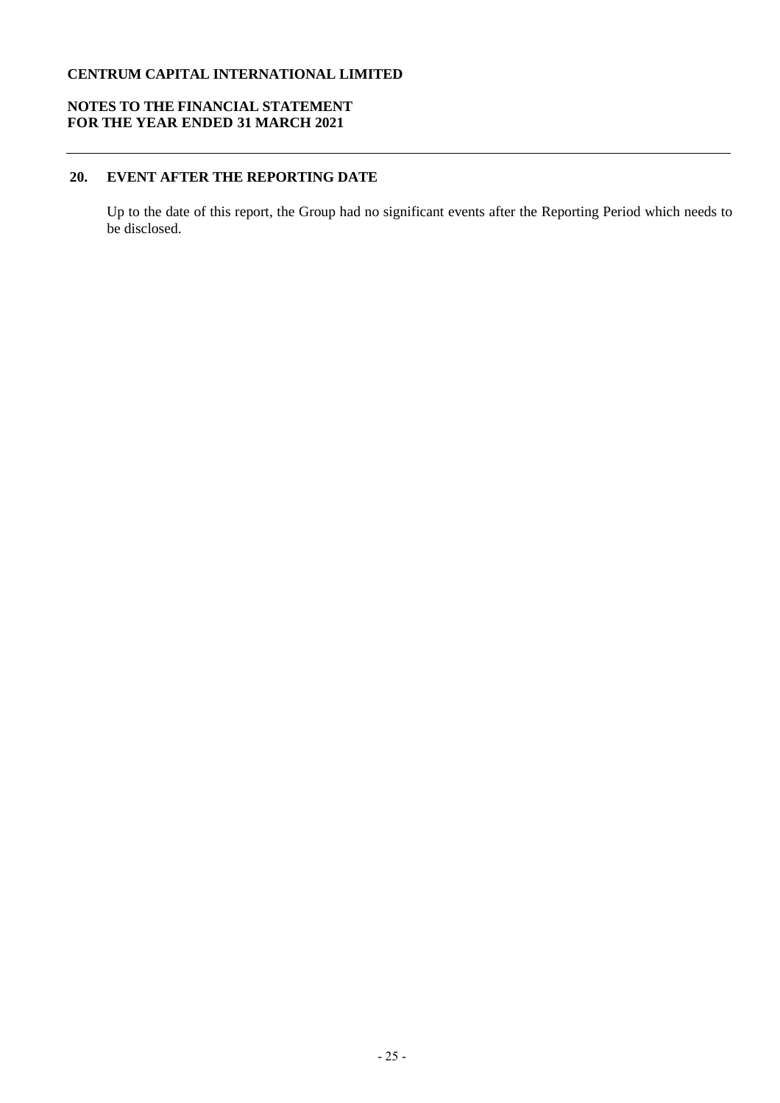# **NOTES TO THE FINANCIAL STATEMENT FOR THE YEAR ENDED 31 MARCH 2021**

# **20. EVENT AFTER THE REPORTING DATE**

Up to the date of this report, the Group had no significant events after the Reporting Period which needs to be disclosed.